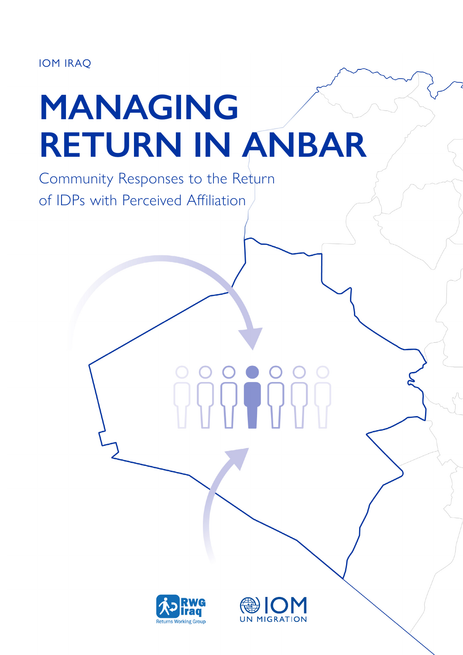IOM IRAQ

# **MANAGING RETURN IN ANBAR**

Community Responses to the Return of IDPs with Perceived Affiliation



**UN MIGRATION**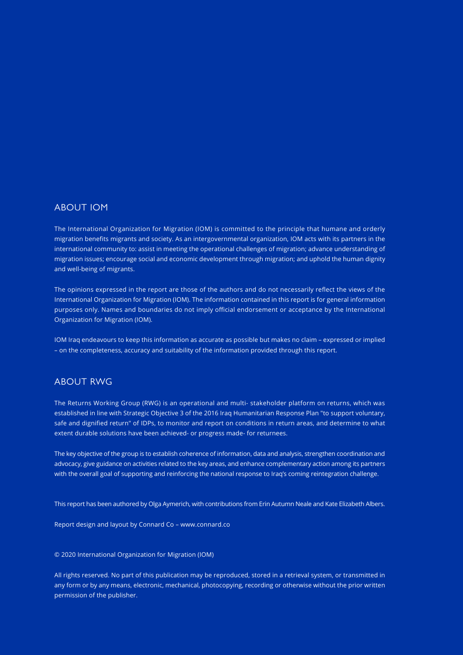#### ABOUT IOM

The International Organization for Migration (IOM) is committed to the principle that humane and orderly migration benefits migrants and society. As an intergovernmental organization, IOM acts with its partners in the international community to: assist in meeting the operational challenges of migration; advance understanding of migration issues; encourage social and economic development through migration; and uphold the human dignity and well-being of migrants.

The opinions expressed in the report are those of the authors and do not necessarily reflect the views of the International Organization for Migration (IOM). The information contained in this report is for general information purposes only. Names and boundaries do not imply official endorsement or acceptance by the International Organization for Migration (IOM).

IOM Iraq endeavours to keep this information as accurate as possible but makes no claim – expressed or implied – on the completeness, accuracy and suitability of the information provided through this report.

#### ABOUT RWG

The Returns Working Group (RWG) is an operational and multi- stakeholder platform on returns, which was established in line with Strategic Objective 3 of the 2016 Iraq Humanitarian Response Plan "to support voluntary, safe and dignified return" of IDPs, to monitor and report on conditions in return areas, and determine to what extent durable solutions have been achieved- or progress made- for returnees.

The key objective of the group is to establish coherence of information, data and analysis, strengthen coordination and advocacy, give guidance on activities related to the key areas, and enhance complementary action among its partners with the overall goal of supporting and reinforcing the national response to Iraq's coming reintegration challenge.

This report has been authored by Olga Aymerich, with contributions from Erin Autumn Neale and Kate Elizabeth Albers.

Report design and layout by Connard Co – [www.connard.co](http://www.connard.co)

© 2020 International Organization for Migration (IOM)

All rights reserved. No part of this publication may be reproduced, stored in a retrieval system, or transmitted in any form or by any means, electronic, mechanical, photocopying, recording or otherwise without the prior written permission of the publisher.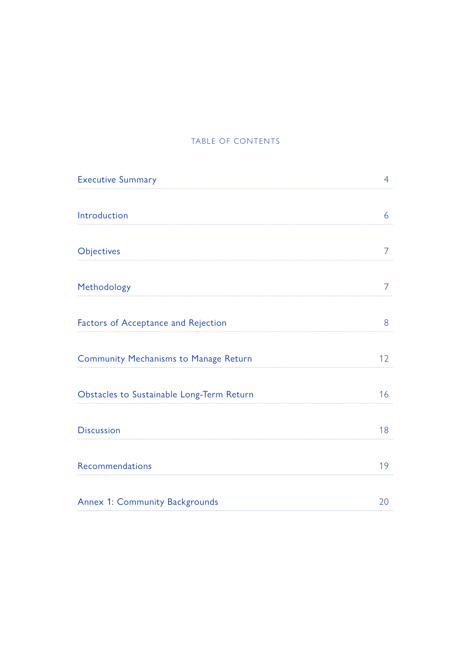#### TABLE OF CONTENTS

<span id="page-2-0"></span>

| <b>Executive Summary</b>                  | $\overline{4}$ |
|-------------------------------------------|----------------|
|                                           |                |
| Introduction                              | 6              |
| Objectives                                | 7              |
| Methodology                               | 7              |
| Factors of Acceptance and Rejection       | 8              |
| Community Mechanisms to Manage Return     | 12             |
| Obstacles to Sustainable Long-Term Return | 16             |
| <b>Discussion</b>                         | 18             |
| Recommendations                           | 19             |
| Annex 1: Community Backgrounds            | 20             |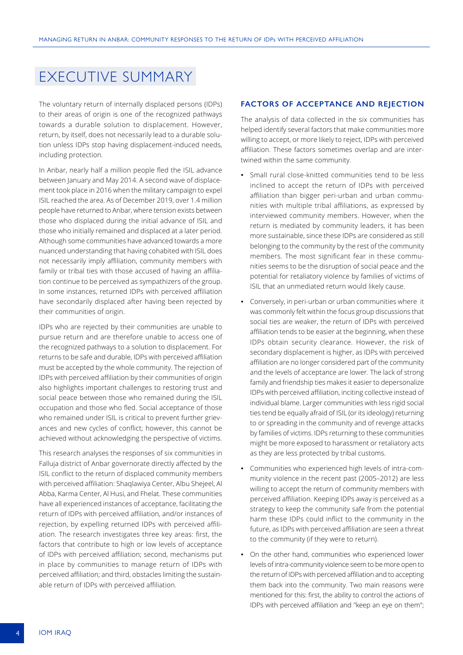# <span id="page-3-0"></span>EXECUTIVE SUMMARY

The voluntary return of internally displaced persons (IDPs) to their areas of origin is one of the recognized pathways towards a durable solution to displacement. However, return, by itself, does not necessarily lead to a durable solution unless IDPs stop having displacement-induced needs, including protection.

In Anbar, nearly half a million people fled the ISIL advance between January and May 2014. A second wave of displacement took place in 2016 when the military campaign to expel ISIL reached the area. As of December 2019, over 1.4 million people have returned to Anbar, where tension exists between those who displaced during the initial advance of ISIL and those who initially remained and displaced at a later period. Although some communities have advanced towards a more nuanced understanding that having cohabited with ISIL does not necessarily imply affiliation, community members with family or tribal ties with those accused of having an affiliation continue to be perceived as sympathizers of the group. In some instances, returned IDPs with perceived affiliation have secondarily displaced after having been rejected by their communities of origin.

IDPs who are rejected by their communities are unable to pursue return and are therefore unable to access one of the recognized pathways to a solution to displacement. For returns to be safe and durable, IDPs with perceived affiliation must be accepted by the whole community. The rejection of IDPs with perceived affiliation by their communities of origin also highlights important challenges to restoring trust and social peace between those who remained during the ISIL occupation and those who fled. Social acceptance of those who remained under ISIL is critical to prevent further grievances and new cycles of conflict; however, this cannot be achieved without acknowledging the perspective of victims.

This research analyses the responses of six communities in Falluja district of Anbar governorate directly affected by the ISIL conflict to the return of displaced community members with perceived affiliation: Shaqlawiya Center, Albu Shejeel, Al Abba, Karma Center, Al Husi, and Fhelat. These communities have all experienced instances of acceptance, facilitating the return of IDPs with perceived affiliation, and/or instances of rejection, by expelling returned IDPs with perceived affiliation. The research investigates three key areas: first, the factors that contribute to high or low levels of acceptance of IDPs with perceived affiliation; second, mechanisms put in place by communities to manage return of IDPs with perceived affiliation; and third, obstacles limiting the sustainable return of IDPs with perceived affiliation.

#### **FACTORS OF ACCEPTANCE AND REJECTION**

The analysis of data collected in the six communities has helped identify several factors that make communities more willing to accept, or more likely to reject, IDPs with perceived affiliation. These factors sometimes overlap and are intertwined within the same community.

- **•** Small rural close-knitted communities tend to be less inclined to accept the return of IDPs with perceived affiliation than bigger peri-urban and urban communities with multiple tribal affiliations, as expressed by interviewed community members. However, when the return is mediated by community leaders, it has been more sustainable, since these IDPs are considered as still belonging to the community by the rest of the community members. The most significant fear in these communities seems to be the disruption of social peace and the potential for retaliatory violence by families of victims of ISIL that an unmediated return would likely cause.
- **•** Conversely, in peri-urban or urban communities where it was commonly felt within the focus group discussions that social ties are weaker, the return of IDPs with perceived affiliation tends to be easier at the beginning, when these IDPs obtain security clearance. However, the risk of secondary displacement is higher, as IDPs with perceived affiliation are no longer considered part of the community and the levels of acceptance are lower. The lack of strong family and friendship ties makes it easier to depersonalize IDPs with perceived affiliation, inciting collective instead of individual blame. Larger communities with less rigid social ties tend be equally afraid of ISIL (or its ideology) returning to or spreading in the community and of revenge attacks by families of victims. IDPs returning to these communities might be more exposed to harassment or retaliatory acts as they are less protected by tribal customs.
- **•** Communities who experienced high levels of intra-community violence in the recent past (2005–2012) are less willing to accept the return of community members with perceived affiliation. Keeping IDPs away is perceived as a strategy to keep the community safe from the potential harm these IDPs could inflict to the community in the future, as IDPs with perceived affiliation are seen a threat to the community (if they were to return).
- **•** On the other hand, communities who experienced lower levels of intra-community violence seem to be more open to the return of IDPs with perceived affiliation and to accepting them back into the community. Two main reasons were mentioned for this: first, the ability to control the actions of IDPs with perceived affiliation and "keep an eye on them";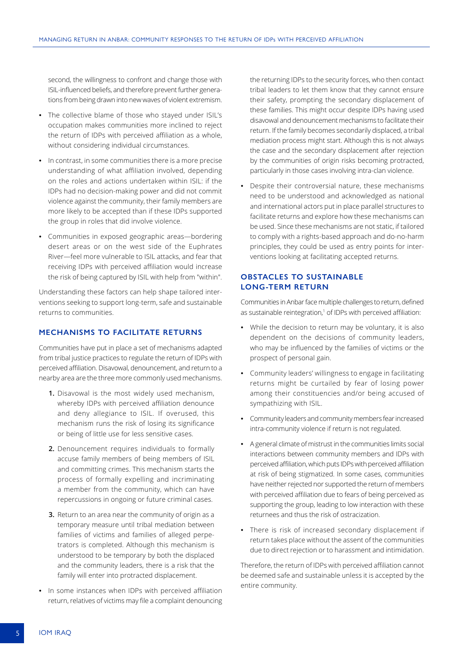second, the willingness to confront and change those with ISIL-influenced beliefs, and therefore prevent further generations from being drawn into new waves of violent extremism.

- **•** The collective blame of those who stayed under ISIL's occupation makes communities more inclined to reject the return of IDPs with perceived affiliation as a whole, without considering individual circumstances.
- **•** In contrast, in some communities there is a more precise understanding of what affiliation involved, depending on the roles and actions undertaken within ISIL: if the IDPs had no decision-making power and did not commit violence against the community, their family members are more likely to be accepted than if these IDPs supported the group in roles that did involve violence.
- **•** Communities in exposed geographic areas—bordering desert areas or on the west side of the Euphrates River—feel more vulnerable to ISIL attacks, and fear that receiving IDPs with perceived affiliation would increase the risk of being captured by ISIL with help from "within".

Understanding these factors can help shape tailored interventions seeking to support long-term, safe and sustainable returns to communities.

#### **MECHANISMS TO FACILITATE RETURNS**

Communities have put in place a set of mechanisms adapted from tribal justice practices to regulate the return of IDPs with perceived affiliation. Disavowal, denouncement, and return to a nearby area are the three more commonly used mechanisms.

- **1.** Disavowal is the most widely used mechanism, whereby IDPs with perceived affiliation denounce and deny allegiance to ISIL. If overused, this mechanism runs the risk of losing its significance or being of little use for less sensitive cases.
- **2.** Denouncement requires individuals to formally accuse family members of being members of ISIL and committing crimes. This mechanism starts the process of formally expelling and incriminating a member from the community, which can have repercussions in ongoing or future criminal cases.
- **3.** Return to an area near the community of origin as a temporary measure until tribal mediation between families of victims and families of alleged perpetrators is completed. Although this mechanism is understood to be temporary by both the displaced and the community leaders, there is a risk that the family will enter into protracted displacement.
- **•** In some instances when IDPs with perceived affiliation return, relatives of victims may file a complaint denouncing

the returning IDPs to the security forces, who then contact tribal leaders to let them know that they cannot ensure their safety, prompting the secondary displacement of these families. This might occur despite IDPs having used disavowal and denouncement mechanisms to facilitate their return. If the family becomes secondarily displaced, a tribal mediation process might start. Although this is not always the case and the secondary displacement after rejection by the communities of origin risks becoming protracted, particularly in those cases involving intra-clan violence.

**•** Despite their controversial nature, these mechanisms need to be understood and acknowledged as national and international actors put in place parallel structures to facilitate returns and explore how these mechanisms can be used. Since these mechanisms are not static, if tailored to comply with a rights-based approach and do-no-harm principles, they could be used as entry points for interventions looking at facilitating accepted returns.

#### **OBSTACLES TO SUSTAINABLE LONG-TERM RETURN**

Communities in Anbar face multiple challenges to return, defined as sustainable reintegration,<sup>1</sup> of IDPs with perceived affiliation:

- **•** While the decision to return may be voluntary, it is also dependent on the decisions of community leaders, who may be influenced by the families of victims or the prospect of personal gain.
- **•** Community leaders' willingness to engage in facilitating returns might be curtailed by fear of losing power among their constituencies and/or being accused of sympathizing with ISIL.
- **•** Community leaders and community members fear increased intra-community violence if return is not regulated.
- **•** A general climate of mistrust in the communities limits social interactions between community members and IDPs with perceived affiliation, which puts IDPs with perceived affiliation at risk of being stigmatized. In some cases, communities have neither rejected nor supported the return of members with perceived affiliation due to fears of being perceived as supporting the group, leading to low interaction with these returnees and thus the risk of ostracization.
- **•** There is risk of increased secondary displacement if return takes place without the assent of the communities due to direct rejection or to harassment and intimidation.

Therefore, the return of IDPs with perceived affiliation cannot be deemed safe and sustainable unless it is accepted by the entire community.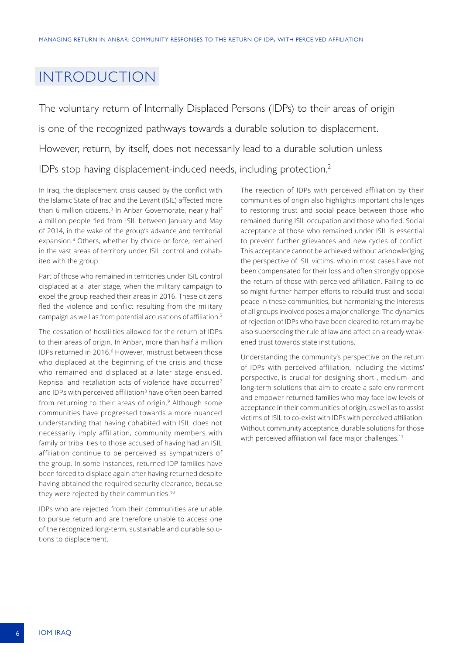# <span id="page-5-0"></span>INTRODUCTION

The voluntary return of Internally Displaced Persons (IDPs) to their areas of origin is one of the recognized pathways towards a durable solution to displacement. However, return, by itself, does not necessarily lead to a durable solution unless IDPs stop having displacement-induced needs, including protection.<sup>2</sup>

In Iraq, the displacement crisis caused by the conflict with the Islamic State of Iraq and the Levant (ISIL) affected more than 6 million citizens.<sup>3</sup> In Anbar Governorate, nearly half a million people fled from ISIL between January and May of 2014, in the wake of the group's advance and territorial expansion.4 Others, whether by choice or force, remained in the vast areas of territory under ISIL control and cohabited with the group.

Part of those who remained in territories under ISIL control displaced at a later stage, when the military campaign to expel the group reached their areas in 2016. These citizens fled the violence and conflict resulting from the military campaign as well as from potential accusations of affiliation.<sup>5</sup>

The cessation of hostilities allowed for the return of IDPs to their areas of origin. In Anbar, more than half a million IDPs returned in 2016.<sup>6</sup> However, mistrust between those who displaced at the beginning of the crisis and those who remained and displaced at a later stage ensued. Reprisal and retaliation acts of violence have occurred7 and IDPs with perceived affiliation<sup>8</sup> have often been barred from returning to their areas of origin.<sup>9</sup> Although some communities have progressed towards a more nuanced understanding that having cohabited with ISIL does not necessarily imply affiliation, community members with family or tribal ties to those accused of having had an ISIL affiliation continue to be perceived as sympathizers of the group. In some instances, returned IDP families have been forced to displace again after having returned despite having obtained the required security clearance, because they were rejected by their communities.<sup>10</sup>

IDPs who are rejected from their communities are unable to pursue return and are therefore unable to access one of the recognized long-term, sustainable and durable solutions to displacement.

The rejection of IDPs with perceived affiliation by their communities of origin also highlights important challenges to restoring trust and social peace between those who remained during ISIL occupation and those who fled. Social acceptance of those who remained under ISIL is essential to prevent further grievances and new cycles of conflict. This acceptance cannot be achieved without acknowledging the perspective of ISIL victims, who in most cases have not been compensated for their loss and often strongly oppose the return of those with perceived affiliation. Failing to do so might further hamper efforts to rebuild trust and social peace in these communities, but harmonizing the interests of all groups involved poses a major challenge. The dynamics of rejection of IDPs who have been cleared to return may be also superseding the rule of law and affect an already weakened trust towards state institutions.

Understanding the community's perspective on the return of IDPs with perceived affiliation, including the victims' perspective, is crucial for designing short-, medium- and long-term solutions that aim to create a safe environment and empower returned families who may face low levels of acceptance in their communities of origin, as well as to assist victims of ISIL to co-exist with IDPs with perceived affiliation. Without community acceptance, durable solutions for those with perceived affiliation will face major challenges.<sup>11</sup>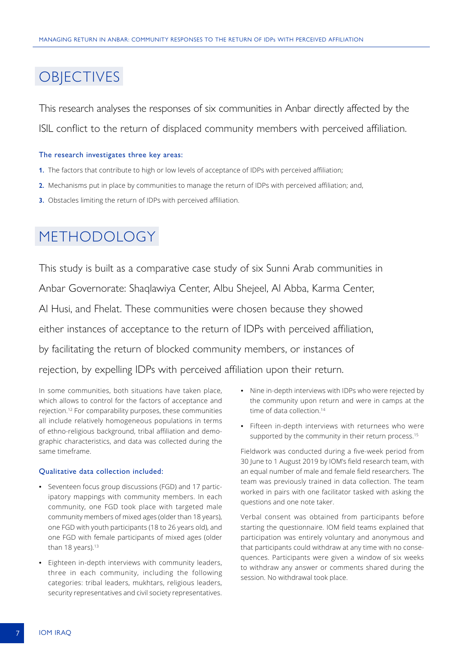# <span id="page-6-0"></span>**OBJECTIVES**

This research analyses the responses of six communities in Anbar directly affected by the ISIL conflict to the return of displaced community members with perceived affiliation.

#### The research investigates three key areas:

- **1.** The factors that contribute to high or low levels of acceptance of IDPs with perceived affiliation;
- **2.** Mechanisms put in place by communities to manage the return of IDPs with perceived affiliation; and,
- **3.** Obstacles limiting the return of IDPs with perceived affiliation.

# METHODOLOGY

This study is built as a comparative case study of six Sunni Arab communities in Anbar Governorate: Shaqlawiya Center, Albu Shejeel, Al Abba, Karma Center, Al Husi, and Fhelat. These communities were chosen because they showed either instances of acceptance to the return of IDPs with perceived affiliation, by facilitating the return of blocked community members, or instances of rejection, by expelling IDPs with perceived affiliation upon their return.

In some communities, both situations have taken place, which allows to control for the factors of acceptance and rejection.12 For comparability purposes, these communities all include relatively homogeneous populations in terms of ethno-religious background, tribal affiliation and demographic characteristics, and data was collected during the same timeframe.

#### Qualitative data collection included:

- **•** Seventeen focus group discussions (FGD) and 17 participatory mappings with community members. In each community, one FGD took place with targeted male community members of mixed ages (older than 18 years), one FGD with youth participants (18 to 26 years old), and one FGD with female participants of mixed ages (older than 18 years). $13$
- **•** Eighteen in-depth interviews with community leaders, three in each community, including the following categories: tribal leaders, mukhtars, religious leaders, security representatives and civil society representatives.
- **•** Nine in-depth interviews with IDPs who were rejected by the community upon return and were in camps at the time of data collection.<sup>14</sup>
- **•** Fifteen in-depth interviews with returnees who were supported by the community in their return process.<sup>15</sup>

Fieldwork was conducted during a five-week period from 30 June to 1 August 2019 by IOM's field research team, with an equal number of male and female field researchers. The team was previously trained in data collection. The team worked in pairs with one facilitator tasked with asking the questions and one note taker.

Verbal consent was obtained from participants before starting the questionnaire. IOM field teams explained that participation was entirely voluntary and anonymous and that participants could withdraw at any time with no consequences. Participants were given a window of six weeks to withdraw any answer or comments shared during the session. No withdrawal took place.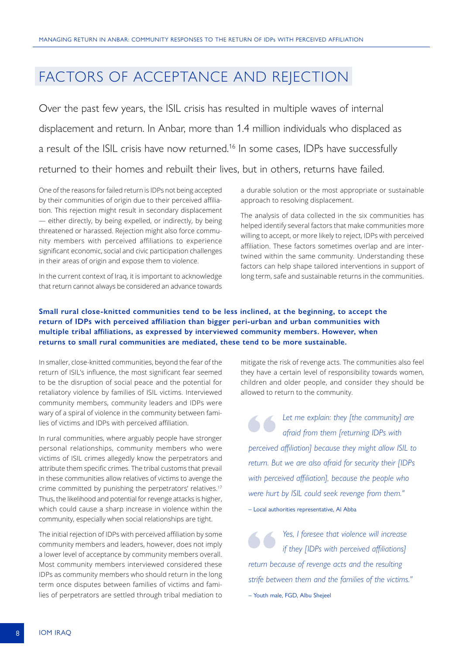# <span id="page-7-0"></span>FACTORS OF ACCEPTANCE AND REJECTION

Over the past few years, the ISIL crisis has resulted in multiple waves of internal displacement and return. In Anbar, more than 1.4 million individuals who displaced as a result of the ISIL crisis have now returned.<sup>16</sup> In some cases, IDPs have successfully returned to their homes and rebuilt their lives, but in others, returns have failed.

One of the reasons for failed return is IDPs not being accepted by their communities of origin due to their perceived affiliation. This rejection might result in secondary displacement — either directly, by being expelled, or indirectly, by being threatened or harassed. Rejection might also force community members with perceived affiliations to experience significant economic, social and civic participation challenges in their areas of origin and expose them to violence.

In the current context of Iraq, it is important to acknowledge that return cannot always be considered an advance towards

a durable solution or the most appropriate or sustainable approach to resolving displacement.

The analysis of data collected in the six communities has helped identify several factors that make communities more willing to accept, or more likely to reject, IDPs with perceived affiliation. These factors sometimes overlap and are intertwined within the same community. Understanding these factors can help shape tailored interventions in support of long term, safe and sustainable returns in the communities.

#### **Small rural close-knitted communities tend to be less inclined, at the beginning, to accept the return of IDPs with perceived affiliation than bigger peri-urban and urban communities with multiple tribal affiliations, as expressed by interviewed community members. However, when returns to small rural communities are mediated, these tend to be more sustainable.**

In smaller, close-knitted communities, beyond the fear of the return of ISIL's influence, the most significant fear seemed to be the disruption of social peace and the potential for retaliatory violence by families of ISIL victims. Interviewed community members, community leaders and IDPs were wary of a spiral of violence in the community between families of victims and IDPs with perceived affiliation.

In rural communities, where arguably people have stronger personal relationships, community members who were victims of ISIL crimes allegedly know the perpetrators and attribute them specific crimes. The tribal customs that prevail in these communities allow relatives of victims to avenge the crime committed by punishing the perpetrators' relatives.<sup>17</sup> Thus, the likelihood and potential for revenge attacks is higher, which could cause a sharp increase in violence within the community, especially when social relationships are tight.

The initial rejection of IDPs with perceived affiliation by some community members and leaders, however, does not imply a lower level of acceptance by community members overall. Most community members interviewed considered these IDPs as community members who should return in the long term once disputes between families of victims and families of perpetrators are settled through tribal mediation to

mitigate the risk of revenge acts. The communities also feel they have a certain level of responsibility towards women, children and older people, and consider they should be allowed to return to the community.

**1** Let me explain: they [the community] are afraid from them [returning IDPs with perceived affiliation] because they might allow ISIL to *afraid from them [returning IDPs with return. But we are also afraid for security their [IDPs with perceived affiliation], because the people who were hurt by ISIL could seek revenge from them."*  – Local authorities representative, Al Abba

**"** *Yes, I foresee that violence will increase return because of revenge acts and the resulting if they [IDPs with perceived affiliations] strife between them and the families of the victims."* – Youth male, FGD, Albu Shejeel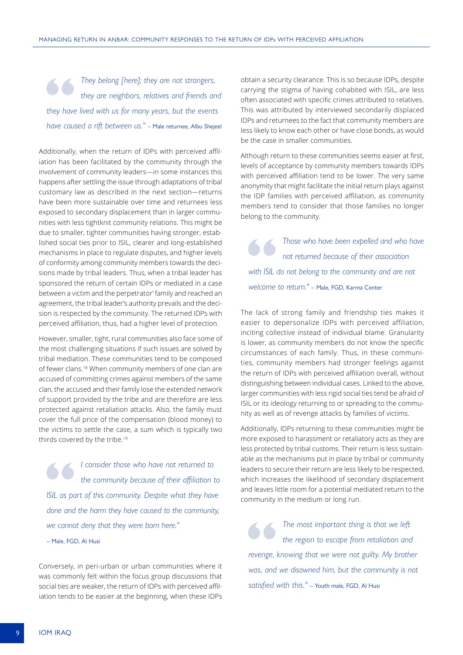**17** *They belong [here]; they are not strangers, they are neighbors, relatives and friends and they have lived with us for many years, but the events they are neighbors, relatives and friends and have caused a rift between us."* – Male returnee, Albu Shejeel

Additionally, when the return of IDPs with perceived affiliation has been facilitated by the community through the involvement of community leaders—in some instances this happens after settling the issue through adaptations of tribal customary law as described in the next section—returns have been more sustainable over time and returnees less exposed to secondary displacement than in larger communities with less tightknit community relations. This might be due to smaller, tighter communities having stronger, established social ties prior to ISIL, clearer and long-established mechanisms in place to regulate disputes, and higher levels of conformity among community members towards the decisions made by tribal leaders. Thus, when a tribal leader has sponsored the return of certain IDPs or mediated in a case between a victim and the perpetrator' family and reached an agreement, the tribal leader's authority prevails and the decision is respected by the community. The returned IDPs with perceived affiliation, thus, had a higher level of protection.

However, smaller, tight, rural communities also face some of the most challenging situations if such issues are solved by tribal mediation. These communities tend to be composed of fewer clans.18 When community members of one clan are accused of committing crimes against members of the same clan, the accused and their family lose the extended network of support provided by the tribe and are therefore are less protected against retaliation attacks. Also, the family must cover the full price of the compensation (blood money) to the victims to settle the case, a sum which is typically two thirds covered by the tribe.<sup>19</sup>

**1 Consider those who have not returned to** the community because of their affiliation to **ISIL** as part of this community. Despite what they have *the community because of their affiliation to done and the harm they have caused to the community, we cannot deny that they were born here."*

– Male, FGD, Al Husi

Conversely, in peri-urban or urban communities where it was commonly felt within the focus group discussions that social ties are weaker, the return of IDPs with perceived affiliation tends to be easier at the beginning, when these IDPs

obtain a security clearance. This is so because IDPs, despite carrying the stigma of having cohabited with ISIL, are less often associated with specific crimes attributed to relatives. This was attributed by interviewed secondarily displaced IDPs and returnees to the fact that community members are less likely to know each other or have close bonds, as would be the case in smaller communities.

Although return to these communities seems easier at first, levels of acceptance by community members towards IDPs with perceived affiliation tend to be lower. The very same anonymity that might facilitate the initial return plays against the IDP families with perceived affiliation, as community members tend to consider that those families no longer belong to the community.

**Those who have been expelled and who have not returned because of their association** with ISIL do not belong to the community and are not *not returned because of their association welcome to return."* – Male, FGD, Karma Center

The lack of strong family and friendship ties makes it easier to depersonalize IDPs with perceived affiliation, inciting collective instead of individual blame. Granularity is lower, as community members do not know the specific circumstances of each family. Thus, in these communities, community members had stronger feelings against the return of IDPs with perceived affiliation overall, without distinguishing between individual cases. Linked to the above, larger communities with less rigid social ties tend be afraid of ISIL or its ideology returning to or spreading to the community as well as of revenge attacks by families of victims.

Additionally, IDPs returning to these communities might be more exposed to harassment or retaliatory acts as they are less protected by tribal customs. Their return is less sustainable as the mechanisms put in place by tribal or community leaders to secure their return are less likely to be respected, which increases the likelihood of secondary displacement and leaves little room for a potential mediated return to the community in the medium or long run.

**The most important thing is that we left** the region to escape from retaliation and revenge, knowing that we were not guilty. My brother *the region to escape from retaliation and was, and we disowned him, but the community is not satisfied with this."* – Youth male, FGD, Al Husi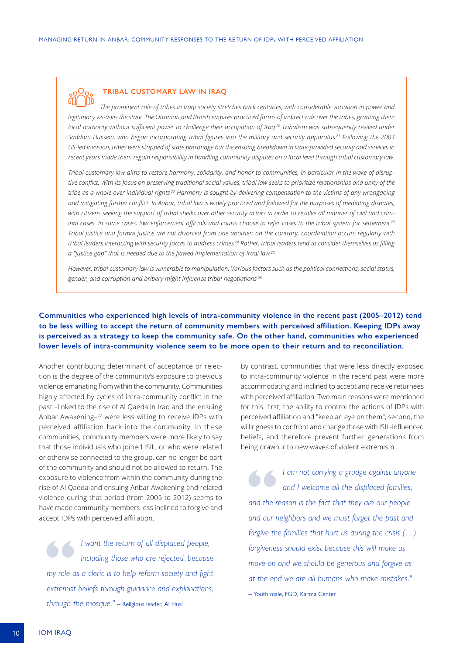

#### **TRIBAL CUSTOMARY LAW IN IRAQ**

*The prominent role of tribes in Iraqi society stretches back centuries, with considerable variation in power and legitimacy vis-à-vis the state. The Ottoman and British empires practiced forms of indirect rule over the tribes, granting them local authority without sufficient power to challenge their occupation of Iraq.20 Tribalism was subsequently revived under Saddam Hussein, who began incorporating tribal figures into the military and security apparatus.21 Following the 2003 US-led invasion, tribes were stripped of state patronage but the ensuing breakdown in state-provided security and services in recent years made them regain responsibility in handling community disputes on a local level through tribal customary law.*

*Tribal customary law aims to restore harmony, solidarity, and honor to communities, in particular in the wake of disruptive conflict. With its focus on preserving traditional social values, tribal law seeks to prioritize relationships and unity of the tribe as a whole over individual rights.22 Harmony is sought by delivering compensation to the victims of any wrongdoing and mitigating further conflict. In Anbar, tribal law is widely practiced and followed for the purposes of mediating disputes, with citizens seeking the support of tribal sheiks over other security actors in order to resolve all manner of civil and criminal cases. In some cases, law enforcement officials and courts choose to refer cases to the tribal system for settlement.23 Tribal justice and formal justice are not divorced from one another; on the contrary, coordination occurs regularly with tribal leaders interacting with security forces to address crimes.24 Rather, tribal leaders tend to consider themselves as filling a "justice gap" that is needed due to the flawed implementation of Iraqi law.25*

*However, tribal customary law is vulnerable to manipulation. Various factors such as the political connections, social status, gender, and corruption and bribery might influence tribal negotiations.26*

#### **Communities who experienced high levels of intra-community violence in the recent past (2005–2012) tend to be less willing to accept the return of community members with perceived affiliation. Keeping IDPs away is perceived as a strategy to keep the community safe. On the other hand, communities who experienced lower levels of intra-community violence seem to be more open to their return and to reconciliation.**

Another contributing determinant of acceptance or rejection is the degree of the community's exposure to previous violence emanating from within the community. Communities highly affected by cycles of intra-community conflict in the past –linked to the rise of Al Qaeda in Iraq and the ensuing Anbar Awakening–27 were less willing to receive IDPs with perceived affiliation back into the community. In these communities, community members were more likely to say that those individuals who joined ISIL, or who were related or otherwise connected to the group, can no longer be part of the community and should not be allowed to return. The exposure to violence from within the community during the rise of Al Qaeda and ensuing Anbar Awakening and related violence during that period (from 2005 to 2012) seems to have made community members less inclined to forgive and accept IDPs with perceived affiliation.

**"** *I want the return of all displaced people, my role as a cleric is to help reform society and fight including those who are rejected, because extremist beliefs through guidance and explanations, through the mosque."* – Religious leader, Al Husi

By contrast, communities that were less directly exposed to intra-community violence in the recent past were more accommodating and inclined to accept and receive returnees with perceived affiliation. Two main reasons were mentioned for this: first, the ability to control the actions of IDPs with perceived affiliation and "keep an eye on them"; second, the willingness to confront and change those with ISIL-influenced beliefs, and therefore prevent further generations from being drawn into new waves of violent extremism.

**"** *I am not carrying a grudge against anyone and the reason is the fact that they are our people and I welcome all the displaced families, and our neighbors and we must forget the past and forgive the families that hurt us during the crisis (…) forgiveness should exist because this will make us move on and we should be generous and forgive as at the end we are all humans who make mistakes."*  – Youth male, FGD, Karma Center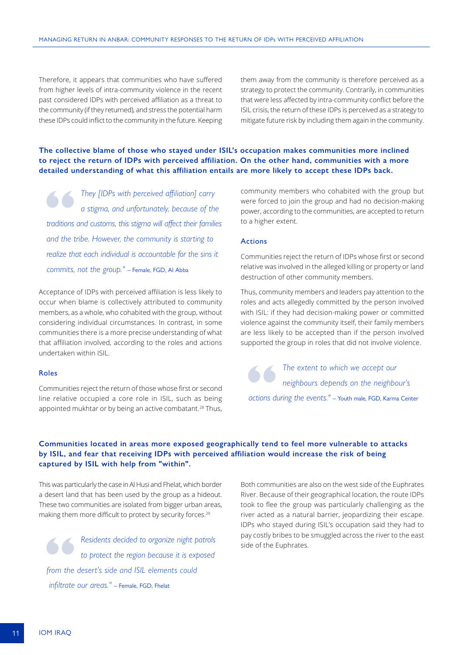Therefore, it appears that communities who have suffered from higher levels of intra-community violence in the recent past considered IDPs with perceived affiliation as a threat to the community (if they returned), and stress the potential harm these IDPs could inflict to the community in the future. Keeping them away from the community is therefore perceived as a strategy to protect the community. Contrarily, in communities that were less affected by intra-community conflict before the ISIL crisis, the return of these IDPs is perceived as a strategy to mitigate future risk by including them again in the community.

#### **The collective blame of those who stayed under ISIL's occupation makes communities more inclined to reject the return of IDPs with perceived affiliation. On the other hand, communities with a more detailed understanding of what this affiliation entails are more likely to accept these IDPs back.**

**They [IDPs with perceived affiliation] carry** a stigma, and unfortunately, because of the traditions and customs, this stigma will affect their families *a stigma, and unfortunately, because of the and the tribe. However, the community is starting to realize that each individual is accountable for the sins it commits, not the group."* – Female, FGD, Al Abba

Acceptance of IDPs with perceived affiliation is less likely to occur when blame is collectively attributed to community members, as a whole, who cohabited with the group, without considering individual circumstances. In contrast, in some communities there is a more precise understanding of what that affiliation involved, according to the roles and actions undertaken within ISIL.

#### Roles

Communities reject the return of those whose first or second line relative occupied a core role in ISIL, such as being appointed mukhtar or by being an active combatant.<sup>28</sup> Thus,

community members who cohabited with the group but were forced to join the group and had no decision-making power, according to the communities, are accepted to return to a higher extent.

#### Actions

Communities reject the return of IDPs whose first or second relative was involved in the alleged killing or property or land destruction of other community members.

Thus, community members and leaders pay attention to the roles and acts allegedly committed by the person involved with ISIL: if they had decision-making power or committed violence against the community itself, their family members are less likely to be accepted than if the person involved supported the group in roles that did not involve violence.

**1.4** The extent to which we accept our *actions* during the events." – Youth male, FGD, Karma Center *neighbours depends on the neighbour's* 

#### **Communities located in areas more exposed geographically tend to feel more vulnerable to attacks by ISIL, and fear that receiving IDPs with perceived affiliation would increase the risk of being captured by ISIL with help from "within".**

This was particularly the case in Al Husi and Fhelat, which border a desert land that has been used by the group as a hideout. These two communities are isolated from bigger urban areas, making them more difficult to protect by security forces.<sup>29</sup>

**1888 1888 Considering and Secure 2013 Considering to protect the region because it is exposed from the desert's side and ISIL elements could** *to protect the region because it is exposed infiltrate our areas."* – Female, FGD, Fhelat

Both communities are also on the west side of the Euphrates River. Because of their geographical location, the route IDPs took to flee the group was particularly challenging as the river acted as a natural barrier, jeopardizing their escape. IDPs who stayed during ISIL's occupation said they had to pay costly bribes to be smuggled across the river to the east side of the Euphrates.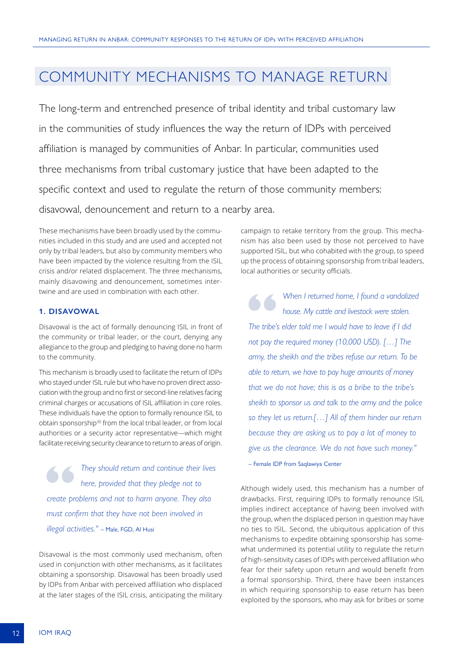# <span id="page-11-0"></span>COMMUNITY MECHANISMS TO MANAGE RETURN

The long-term and entrenched presence of tribal identity and tribal customary law in the communities of study influences the way the return of IDPs with perceived affiliation is managed by communities of Anbar. In particular, communities used three mechanisms from tribal customary justice that have been adapted to the specific context and used to regulate the return of those community members: disavowal, denouncement and return to a nearby area.

These mechanisms have been broadly used by the communities included in this study and are used and accepted not only by tribal leaders, but also by community members who have been impacted by the violence resulting from the ISIL crisis and/or related displacement. The three mechanisms, mainly disavowing and denouncement, sometimes intertwine and are used in combination with each other.

#### **1. DISAVOWAL**

Disavowal is the act of formally denouncing ISIL in front of the community or tribal leader, or the court, denying any allegiance to the group and pledging to having done no harm to the community.

This mechanism is broadly used to facilitate the return of IDPs who stayed under ISIL rule but who have no proven direct association with the group and no first or second-line relatives facing criminal charges or accusations of ISIL affiliation in core roles. These individuals have the option to formally renounce ISIL to obtain sponsorship30 from the local tribal leader, or from local authorities or a security actor representative—which might facilitate receiving security clearance to return to areas of origin.

**They should return and continue their lives** here, provided that they pledge not to create problems and not to harm anyone. They also *here, provided that they pledge not to must confirm that they have not been involved in illegal activities."* – Male, FGD, Al Husi

Disavowal is the most commonly used mechanism, often used in conjunction with other mechanisms, as it facilitates obtaining a sponsorship. Disavowal has been broadly used by IDPs from Anbar with perceived affiliation who displaced at the later stages of the ISIL crisis, anticipating the military campaign to retake territory from the group. This mechanism has also been used by those not perceived to have supported ISIL, but who cohabited with the group, to speed up the process of obtaining sponsorship from tribal leaders, local authorities or security officials.

**1899 • When I returned home, I found a vandalized bouse. My cattle and livestock were stolen.<br>
The tribe's elder told me I would have to leave if I did** *house. My cattle and livestock were stolen. not pay the required money (10,000 USD). […] The army, the sheikh and the tribes refuse our return. To be able to return, we have to pay huge amounts of money that we do not have; this is as a bribe to the tribe's sheikh to sponsor us and talk to the army and the police so they let us return.[…] All of them hinder our return because they are asking us to pay a lot of money to give us the clearance. We do not have such money."* – Female IDP from Saqlawiya Center

Although widely used, this mechanism has a number of drawbacks. First, requiring IDPs to formally renounce ISIL implies indirect acceptance of having been involved with the group, when the displaced person in question may have no ties to ISIL. Second, the ubiquitous application of this mechanisms to expedite obtaining sponsorship has somewhat undermined its potential utility to regulate the return of high-sensitivity cases of IDPs with perceived affiliation who fear for their safety upon return and would benefit from a formal sponsorship. Third, there have been instances in which requiring sponsorship to ease return has been exploited by the sponsors, who may ask for bribes or some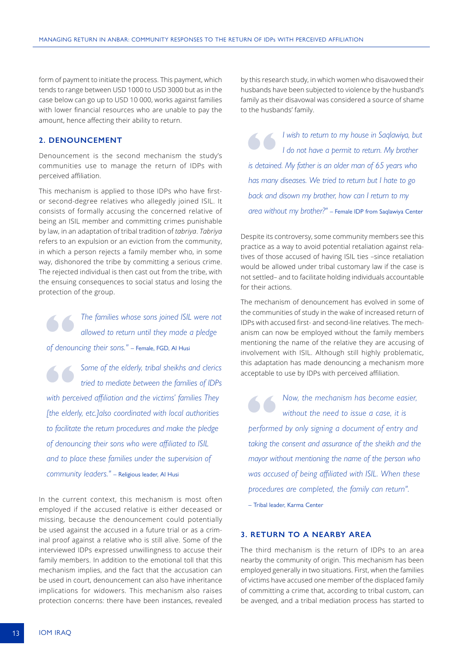form of payment to initiate the process. This payment, which tends to range between USD 1000 to USD 3000 but as in the case below can go up to USD 10 000, works against families with lower financial resources who are unable to pay the amount, hence affecting their ability to return.

#### **2. DENOUNCEMENT**

Denouncement is the second mechanism the study's communities use to manage the return of IDPs with perceived affiliation.

This mechanism is applied to those IDPs who have firstor second-degree relatives who allegedly joined ISIL. It consists of formally accusing the concerned relative of being an ISIL member and committing crimes punishable by law, in an adaptation of tribal tradition of *tabriya*. *Tabriya* refers to an expulsion or an eviction from the community, in which a person rejects a family member who, in some way, dishonored the tribe by committing a serious crime. The rejected individual is then cast out from the tribe, with the ensuing consequences to social status and losing the protection of the group.

**"** *The families whose sons joined ISIL were not allowed to return until they made a pledge of denouncing their sons."* – Female, FGD, Al Husi

**Some of the elderly, tribal sheikhs and clerics** *tried to mediate between the families of IDPs with perceived affiliation and the victims' families They tried to mediate between the families of IDPs [the elderly, etc.]also coordinated with local authorities to facilitate the return procedures and make the pledge of denouncing their sons who were affiliated to ISIL and to place these families under the supervision of community leaders."* – Religious leader, Al Husi

In the current context, this mechanism is most often employed if the accused relative is either deceased or missing, because the denouncement could potentially be used against the accused in a future trial or as a criminal proof against a relative who is still alive. Some of the interviewed IDPs expressed unwillingness to accuse their family members. In addition to the emotional toll that this mechanism implies, and the fact that the accusation can be used in court, denouncement can also have inheritance implications for widowers. This mechanism also raises protection concerns: there have been instances, revealed

by this research study, in which women who disavowed their husbands have been subjected to violence by the husband's family as their disavowal was considered a source of shame to the husbands' family.

**1** wish to return to my house in Saqlawiya, but <br> **i** do not have a permit to return. My brother is detained. My father is an older man of 65 years who *I do not have a permit to return. My brother has many diseases. We tried to return but I hate to go back and disown my brother, how can I return to my area without my brother?"* – Female IDP from Saqlawiya Center

Despite its controversy, some community members see this practice as a way to avoid potential retaliation against relatives of those accused of having ISIL ties –since retaliation would be allowed under tribal customary law if the case is not settled– and to facilitate holding individuals accountable for their actions.

The mechanism of denouncement has evolved in some of the communities of study in the wake of increased return of IDPs with accused first- and second-line relatives. The mechanism can now be employed without the family members mentioning the name of the relative they are accusing of involvement with ISIL. Although still highly problematic, this adaptation has made denouncing a mechanism more acceptable to use by IDPs with perceived affiliation.

**"** *Now, the mechanism has become easier, performed by only signing a document of entry and without the need to issue a case, it is taking the consent and assurance of the sheikh and the mayor without mentioning the name of the person who was accused of being affiliated with ISIL. When these procedures are completed, the family can return".*

– Tribal leader, Karma Center

#### **3. RETURN TO A NEARBY AREA**

The third mechanism is the return of IDPs to an area nearby the community of origin. This mechanism has been employed generally in two situations. First, when the families of victims have accused one member of the displaced family of committing a crime that, according to tribal custom, can be avenged, and a tribal mediation process has started to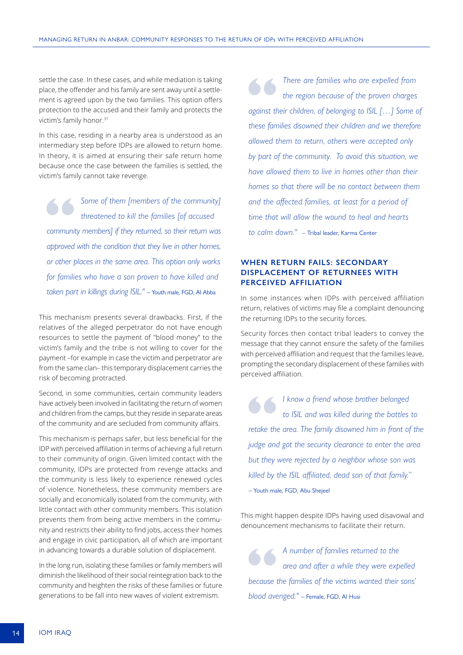settle the case. In these cases, and while mediation is taking place, the offender and his family are sent away until a settlement is agreed upon by the two families. This option offers protection to the accused and their family and protects the victim's family honor.<sup>31</sup>

In this case, residing in a nearby area is understood as an intermediary step before IDPs are allowed to return home. In theory, it is aimed at ensuring their safe return home because once the case between the families is settled, the victim's family cannot take revenge.

**Some of them [members of the community]**<br>
threatened to kill the families [of accused<br>
community members] if they returned, so their return was *threatened to kill the families [of accused approved with the condition that they live in other homes, or other places in the same area. This option only works for families who have a son proven to have killed and taken part in killings during ISIL."* – Youth male, FGD, Al Abba

This mechanism presents several drawbacks. First, if the relatives of the alleged perpetrator do not have enough resources to settle the payment of "blood money" to the victim's family and the tribe is not willing to cover for the payment –for example in case the victim and perpetrator are from the same clan– this temporary displacement carries the risk of becoming protracted.

Second, in some communities, certain community leaders have actively been involved in facilitating the return of women and children from the camps, but they reside in separate areas of the community and are secluded from community affairs.

This mechanism is perhaps safer, but less beneficial for the IDP with perceived affiliation in terms of achieving a full return to their community of origin. Given limited contact with the community, IDPs are protected from revenge attacks and the community is less likely to experience renewed cycles of violence. Nonetheless, these community members are socially and economically isolated from the community, with little contact with other community members. This isolation prevents them from being active members in the community and restricts their ability to find jobs, access their homes and engage in civic participation, all of which are important in advancing towards a durable solution of displacement.

In the long run, isolating these families or family members will diminish the likelihood of their social reintegration back to the community and heighten the risks of these families or future generations to be fall into new waves of violent extremism.

**1 b 1 a** *are families who are expelled from the region because of the proven charges against their children, of belonging to ISIL […] Some of the region because of the proven charges these families disowned their children and we therefore allowed them to return, others were accepted only by part of the community. To avoid this situation, we have allowed them to live in homes other than their homes so that there will be no contact between them and the affected families, at least for a period of time that will allow the wound to heal and hearts to calm down."* – Tribal leader, Karma Center

#### **WHEN RETURN FAILS: SECONDARY DISPLACEMENT OF RETURNEES WITH PERCEIVED AFFILIATION**

In some instances when IDPs with perceived affiliation return, relatives of victims may file a complaint denouncing the returning IDPs to the security forces.

Security forces then contact tribal leaders to convey the message that they cannot ensure the safety of the families with perceived affiliation and request that the families leave, prompting the secondary displacement of these families with perceived affiliation.

**"** *I know a friend whose brother belonged to ISIL and was killed during the battles to retake the area. The family disowned him in front of the judge and got the security clearance to enter the area but they were rejected by a neighbor whose son was killed by the ISIL affiliated, dead son of that family.''* – Youth male, FGD, Abu Shejeel

This might happen despite IDPs having used disavowal and denouncement mechanisms to facilitate their return.

**1 A** number of families returned to the area and after a while they were expelled because the families of the victims wanted their sons' *area and after a while they were expelled blood avenged."* – Female, FGD, Al Husi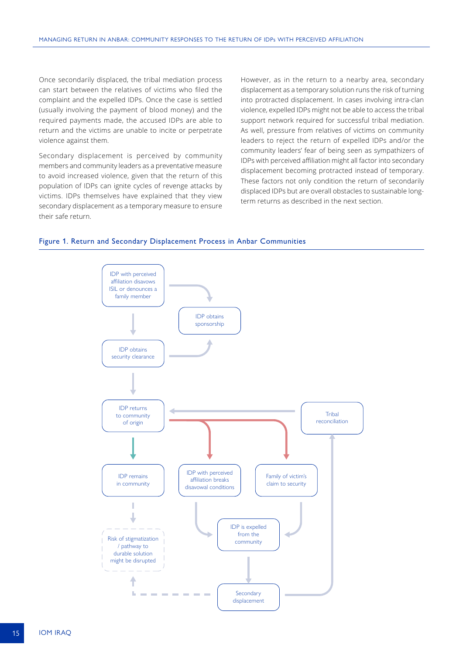Once secondarily displaced, the tribal mediation process can start between the relatives of victims who filed the complaint and the expelled IDPs. Once the case is settled (usually involving the payment of blood money) and the required payments made, the accused IDPs are able to return and the victims are unable to incite or perpetrate violence against them.

Secondary displacement is perceived by community members and community leaders as a preventative measure to avoid increased violence, given that the return of this population of IDPs can ignite cycles of revenge attacks by victims. IDPs themselves have explained that they view secondary displacement as a temporary measure to ensure their safe return.

However, as in the return to a nearby area, secondary displacement as a temporary solution runs the risk of turning into protracted displacement. In cases involving intra-clan violence, expelled IDPs might not be able to access the tribal support network required for successful tribal mediation. As well, pressure from relatives of victims on community leaders to reject the return of expelled IDPs and/or the community leaders' fear of being seen as sympathizers of IDPs with perceived affiliation might all factor into secondary displacement becoming protracted instead of temporary. These factors not only condition the return of secondarily displaced IDPs but are overall obstacles to sustainable longterm returns as described in the next section.



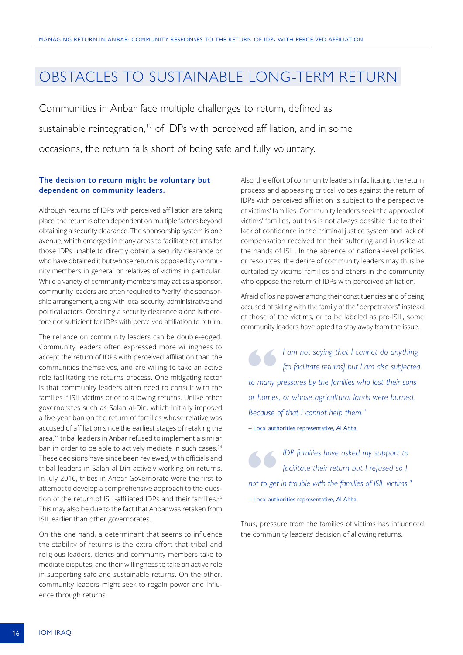### <span id="page-15-0"></span>OBSTACLES TO SUSTAINABLE LONG-TERM RETURN

Communities in Anbar face multiple challenges to return, defined as sustainable reintegration,<sup>32</sup> of IDPs with perceived affiliation, and in some occasions, the return falls short of being safe and fully voluntary.

#### **The decision to return might be voluntary but dependent on community leaders.**

Although returns of IDPs with perceived affiliation are taking place, the return is often dependent on multiple factors beyond obtaining a security clearance. The sponsorship system is one avenue, which emerged in many areas to facilitate returns for those IDPs unable to directly obtain a security clearance or who have obtained it but whose return is opposed by community members in general or relatives of victims in particular. While a variety of community members may act as a sponsor, community leaders are often required to "verify" the sponsorship arrangement, along with local security, administrative and political actors. Obtaining a security clearance alone is therefore not sufficient for IDPs with perceived affiliation to return.

The reliance on community leaders can be double-edged. Community leaders often expressed more willingness to accept the return of IDPs with perceived affiliation than the communities themselves, and are willing to take an active role facilitating the returns process. One mitigating factor is that community leaders often need to consult with the families if ISIL victims prior to allowing returns. Unlike other governorates such as Salah al-Din, which initially imposed a five-year ban on the return of families whose relative was accused of affiliation since the earliest stages of retaking the area,33 tribal leaders in Anbar refused to implement a similar ban in order to be able to actively mediate in such cases.<sup>34</sup> These decisions have since been reviewed, with officials and tribal leaders in Salah al-Din actively working on returns. In July 2016, tribes in Anbar Governorate were the first to attempt to develop a comprehensive approach to the question of the return of ISIL-affiliated IDPs and their families.<sup>35</sup> This may also be due to the fact that Anbar was retaken from ISIL earlier than other governorates.

On the one hand, a determinant that seems to influence the stability of returns is the extra effort that tribal and religious leaders, clerics and community members take to mediate disputes, and their willingness to take an active role in supporting safe and sustainable returns. On the other, community leaders might seek to regain power and influence through returns.

Also, the effort of community leaders in facilitating the return process and appeasing critical voices against the return of IDPs with perceived affiliation is subject to the perspective of victims' families. Community leaders seek the approval of victims' families, but this is not always possible due to their lack of confidence in the criminal justice system and lack of compensation received for their suffering and injustice at the hands of ISIL. In the absence of national-level policies or resources, the desire of community leaders may thus be curtailed by victims' families and others in the community who oppose the return of IDPs with perceived affiliation.

Afraid of losing power among their constituencies and of being accused of siding with the family of the "perpetrators" instead of those of the victims, or to be labeled as pro-ISIL, some community leaders have opted to stay away from the issue.

**"** *I am not saying that I cannot do anything to many pressures by the families who lost their sons [to facilitate returns] but I am also subjected or homes, or whose agricultural lands were burned. Because of that I cannot help them."*

– Local authorities representative, Al Abba

**1DP** families have asked my support to *facilitate their return but I refused so I* not to get in trouble with the families of ISIL victims." *facilitate their return but I refused so I*  – Local authorities representative, Al Abba

Thus, pressure from the families of victims has influenced the community leaders' decision of allowing returns.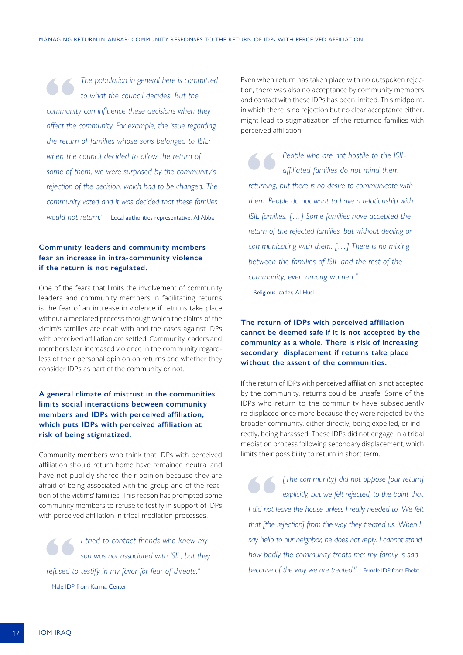**17** The population in general here is committed to what the council decides. But the community can influence these decisions when they *to what the council decides. But the affect the community. For example, the issue regarding the return of families whose sons belonged to ISIL: when the council decided to allow the return of some of them, we were surprised by the community's rejection of the decision, which had to be changed. The community voted and it was decided that these families would not return."* – Local authorities representative, Al Abba

#### **Community leaders and community members fear an increase in intra-community violence if the return is not regulated.**

One of the fears that limits the involvement of community leaders and community members in facilitating returns is the fear of an increase in violence if returns take place without a mediated process through which the claims of the victim's families are dealt with and the cases against IDPs with perceived affiliation are settled. Community leaders and members fear increased violence in the community regardless of their personal opinion on returns and whether they consider IDPs as part of the community or not.

#### **A general climate of mistrust in the communities limits social interactions between community members and IDPs with perceived affiliation, which puts IDPs with perceived affiliation at risk of being stigmatized.**

Community members who think that IDPs with perceived affiliation should return home have remained neutral and have not publicly shared their opinion because they are afraid of being associated with the group and of the reaction of the victims' families. This reason has prompted some community members to refuse to testify in support of IDPs with perceived affiliation in tribal mediation processes.

**"** *I tried to contact friends who knew my refused to testify in my favor for fear of threats." son was not associated with ISIL, but they*  – Male IDP from Karma Center

Even when return has taken place with no outspoken rejection, there was also no acceptance by community members and contact with these IDPs has been limited. This midpoint, in which there is no rejection but no clear acceptance either, might lead to stigmatization of the returned families with perceived affiliation.

**1899** People who are not hostile to the ISIL-<br> *affiliated families do not mind them*<br> *returning, but there is no desire to communicate with affiliated families do not mind them them. People do not want to have a relationship with ISIL families. […] Some families have accepted the return of the rejected families, but without dealing or communicating with them. […] There is no mixing between the families of ISIL and the rest of the community, even among women."*

– Religious leader, Al Husi

#### **The return of IDPs with perceived affiliation cannot be deemed safe if it is not accepted by the community as a whole. There is risk of increasing secondary displacement if returns take place without the assent of the communities.**

If the return of IDPs with perceived affiliation is not accepted by the community, returns could be unsafe. Some of the IDPs who return to the community have subsequently re-displaced once more because they were rejected by the broader community, either directly, being expelled, or indirectly, being harassed. These IDPs did not engage in a tribal mediation process following secondary displacement, which limits their possibility to return in short term.

**"** *[The community] did not oppose [our return] I did not leave the house unless I really needed to. We felt explicitly, but we felt rejected, to the point that that [the rejection] from the way they treated us. When I say hello to our neighbor, he does not reply. I cannot stand how badly the community treats me; my family is sad because of the way we are treated."* – Female IDP from Fhelat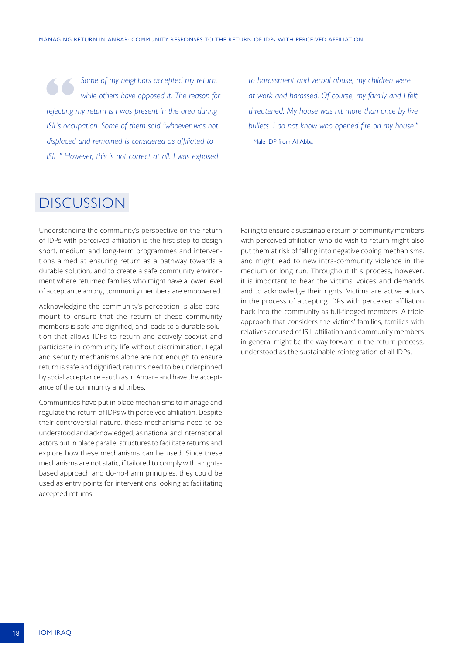<span id="page-17-0"></span>**Some of my neighbors accepted my return,** while others have opposed it. The reason for rejecting my return is I was present in the area during *while others have opposed it. The reason for ISIL's occupation. Some of them said "whoever was not displaced and remained is considered as affiliated to ISIL." However, this is not correct at all. I was exposed* 

*to harassment and verbal abuse; my children were at work and harassed. Of course, my family and I felt threatened. My house was hit more than once by live bullets. I do not know who opened fire on my house."* – Male IDP from Al Abba

# DISCUSSION

Understanding the community's perspective on the return of IDPs with perceived affiliation is the first step to design short, medium and long-term programmes and interventions aimed at ensuring return as a pathway towards a durable solution, and to create a safe community environment where returned families who might have a lower level of acceptance among community members are empowered.

Acknowledging the community's perception is also paramount to ensure that the return of these community members is safe and dignified, and leads to a durable solution that allows IDPs to return and actively coexist and participate in community life without discrimination. Legal and security mechanisms alone are not enough to ensure return is safe and dignified; returns need to be underpinned by social acceptance –such as in Anbar– and have the acceptance of the community and tribes.

Communities have put in place mechanisms to manage and regulate the return of IDPs with perceived affiliation. Despite their controversial nature, these mechanisms need to be understood and acknowledged, as national and international actors put in place parallel structures to facilitate returns and explore how these mechanisms can be used. Since these mechanisms are not static, if tailored to comply with a rightsbased approach and do-no-harm principles, they could be used as entry points for interventions looking at facilitating accepted returns.

Failing to ensure a sustainable return of community members with perceived affiliation who do wish to return might also put them at risk of falling into negative coping mechanisms, and might lead to new intra-community violence in the medium or long run. Throughout this process, however, it is important to hear the victims' voices and demands and to acknowledge their rights. Victims are active actors in the process of accepting IDPs with perceived affiliation back into the community as full-fledged members. A triple approach that considers the victims' families, families with relatives accused of ISIL affiliation and community members in general might be the way forward in the return process, understood as the sustainable reintegration of all IDPs.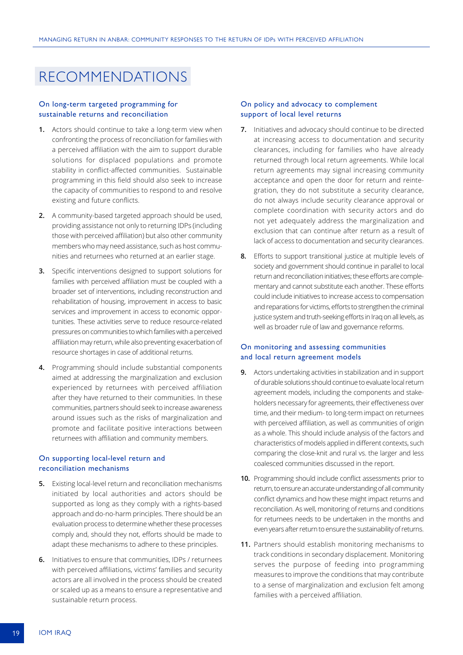# <span id="page-18-0"></span>RECOMMENDATIONS

#### On long-term targeted programming for sustainable returns and reconciliation

- **1.** Actors should continue to take a long-term view when confronting the process of reconciliation for families with a perceived affiliation with the aim to support durable solutions for displaced populations and promote stability in conflict-affected communities. Sustainable programming in this field should also seek to increase the capacity of communities to respond to and resolve existing and future conflicts.
- **2.** A community-based targeted approach should be used, providing assistance not only to returning IDPs (including those with perceived affiliation) but also other community members who may need assistance, such as host communities and returnees who returned at an earlier stage.
- **3.** Specific interventions designed to support solutions for families with perceived affiliation must be coupled with a broader set of interventions, including reconstruction and rehabilitation of housing, improvement in access to basic services and improvement in access to economic opportunities. These activities serve to reduce resource-related pressures on communities to which families with a perceived affiliation may return, while also preventing exacerbation of resource shortages in case of additional returns.
- **4.** Programming should include substantial components aimed at addressing the marginalization and exclusion experienced by returnees with perceived affiliation after they have returned to their communities. In these communities, partners should seek to increase awareness around issues such as the risks of marginalization and promote and facilitate positive interactions between returnees with affiliation and community members.

#### On supporting local-level return and reconciliation mechanisms

- **5.** Existing local-level return and reconciliation mechanisms initiated by local authorities and actors should be supported as long as they comply with a rights-based approach and do-no-harm principles. There should be an evaluation process to determine whether these processes comply and, should they not, efforts should be made to adapt these mechanisms to adhere to these principles.
- **6.** Initiatives to ensure that communities, IDPs / returnees with perceived affiliations, victims' families and security actors are all involved in the process should be created or scaled up as a means to ensure a representative and sustainable return process.

#### On policy and advocacy to complement support of local level returns

- **7.** Initiatives and advocacy should continue to be directed at increasing access to documentation and security clearances, including for families who have already returned through local return agreements. While local return agreements may signal increasing community acceptance and open the door for return and reintegration, they do not substitute a security clearance, do not always include security clearance approval or complete coordination with security actors and do not yet adequately address the marginalization and exclusion that can continue after return as a result of lack of access to documentation and security clearances.
- **8.** Efforts to support transitional justice at multiple levels of society and government should continue in parallel to local return and reconciliation initiatives; these efforts are complementary and cannot substitute each another. These efforts could include initiatives to increase access to compensation and reparations for victims, efforts to strengthen the criminal justice system and truth-seeking efforts in Iraq on all levels, as well as broader rule of law and governance reforms.

#### On monitoring and assessing communities and local return agreement models

- **9.** Actors undertaking activities in stabilization and in support of durable solutions should continue to evaluate local return agreement models, including the components and stakeholders necessary for agreements, their effectiveness over time, and their medium- to long-term impact on returnees with perceived affiliation, as well as communities of origin as a whole. This should include analysis of the factors and characteristics of models applied in different contexts, such comparing the close-knit and rural vs. the larger and less coalesced communities discussed in the report.
- **10.** Programming should include conflict assessments prior to return, to ensure an accurate understanding of all community conflict dynamics and how these might impact returns and reconciliation. As well, monitoring of returns and conditions for returnees needs to be undertaken in the months and even years after return to ensure the sustainability of returns.
- **11.** Partners should establish monitoring mechanisms to track conditions in secondary displacement. Monitoring serves the purpose of feeding into programming measures to improve the conditions that may contribute to a sense of marginalization and exclusion felt among families with a perceived affiliation.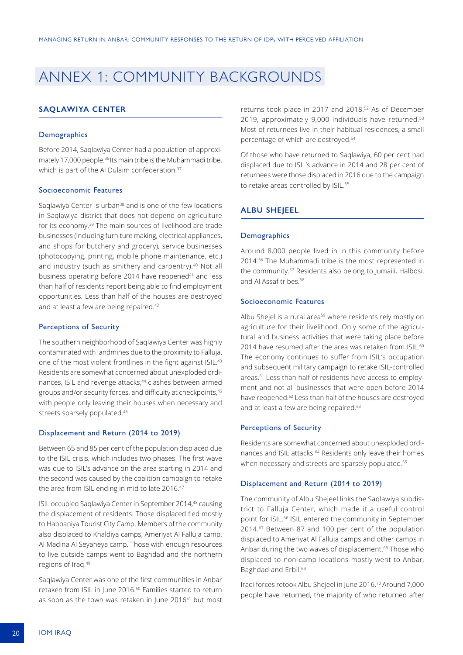# <span id="page-19-0"></span>ANNEX 1: COMMUNITY BACKGROUNDS

#### **SAQLAWIYA CENTER**

#### **Demographics**

Before 2014, Saqlawiya Center had a population of approximately 17,000 people.<sup>36</sup> Its main tribe is the Muhammadi tribe, which is part of the Al Dulaim confederation.<sup>37</sup>

#### Socioeconomic Features

Saglawiya Center is urban<sup>38</sup> and is one of the few locations in Saqlawiya district that does not depend on agriculture for its economy.<sup>39</sup> The main sources of livelihood are trade businesses (including furniture making, electrical appliances, and shops for butchery and grocery), service businesses (photocopying, printing, mobile phone maintenance, etc.) and industry (such as smithery and carpentry).<sup>40</sup> Not all business operating before 2014 have reopened<sup>41</sup> and less than half of residents report being able to find employment opportunities. Less than half of the houses are destroyed and at least a few are being repaired.<sup>42</sup>

#### Perceptions of Security

The southern neighborhood of Saqlawiya Center was highly contaminated with landmines due to the proximity to Falluja, one of the most violent frontlines in the fight against ISIL.<sup>43</sup> Residents are somewhat concerned about unexploded ordinances, ISIL and revenge attacks,<sup>44</sup> clashes between armed groups and/or security forces, and difficulty at checkpoints,<sup>45</sup> with people only leaving their houses when necessary and streets sparsely populated.<sup>46</sup>

#### Displacement and Return (2014 to 2019)

Between 65 and 85 per cent of the population displaced due to the ISIL crisis, which includes two phases. The first wave was due to ISIL's advance on the area starting in 2014 and the second was caused by the coalition campaign to retake the area from ISIL ending in mid to late 2016.<sup>47</sup>

ISIL occupied Saqlawiya Center in September 2014,48 causing the displacement of residents. Those displaced fled mostly to Habbaniya Tourist City Camp. Members of the community also displaced to Khaldiya camps, Ameriyat Al Falluja camp, Al Madina Al Seyaheya camp. Those with enough resources to live outside camps went to Baghdad and the northern regions of Iraq.49

Saqlawiya Center was one of the first communities in Anbar retaken from ISIL in June 2016.50 Families started to return as soon as the town was retaken in June 2016<sup>51</sup> but most

returns took place in 2017 and 2018.52 As of December 2019, approximately 9,000 individuals have returned.<sup>53</sup> Most of returnees live in their habitual residences, a small percentage of which are destroyed.<sup>54</sup>

Of those who have returned to Saqlawiya, 60 per cent had displaced due to ISIL's advance in 2014 and 28 per cent of returnees were those displaced in 2016 due to the campaign to retake areas controlled by ISIL.<sup>55</sup>

#### **ALBU SHEJEEL**

#### **Demographics**

Around 8,000 people lived in in this community before 2014.56 The Muhammadi tribe is the most represented in the community.57 Residents also belong to Jumaili, Halbosi, and Al Assaf tribes.58

#### Socioeconomic Features

Albu Shejel is a rural area<sup>59</sup> where residents rely mostly on agriculture for their livelihood. Only some of the agricultural and business activities that were taking place before 2014 have resumed after the area was retaken from ISIL.<sup>60</sup> The economy continues to suffer from ISIL's occupation and subsequent military campaign to retake ISIL-controlled areas.<sup>61</sup> Less than half of residents have access to employment and not all businesses that were open before 2014 have reopened.<sup>62</sup> Less than half of the houses are destroyed and at least a few are being repaired.<sup>63</sup>

#### Perceptions of Security

Residents are somewhat concerned about unexploded ordinances and ISIL attacks.<sup>64</sup> Residents only leave their homes when necessary and streets are sparsely populated.<sup>65</sup>

#### Displacement and Return (2014 to 2019)

The community of Albu Shejeel links the Saqlawiya subdistrict to Falluja Center, which made it a useful control point for ISIL.<sup>66</sup> ISIL entered the community in September 2014.67 Between 87 and 100 per cent of the population displaced to Ameriyat Al Falluja camps and other camps in Anbar during the two waves of displacement.<sup>68</sup> Those who displaced to non-camp locations mostly went to Anbar, Baghdad and Erbil.<sup>69</sup>

Iraqi forces retook Albu Shejeel in June 2016.70 Around 7,000 people have returned, the majority of who returned after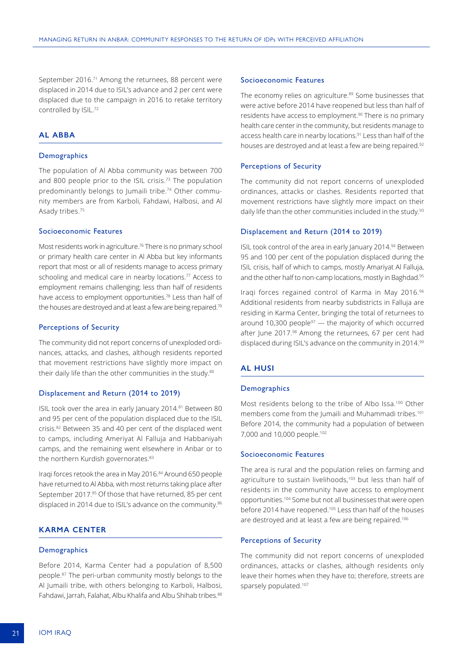September 2016.<sup>71</sup> Among the returnees, 88 percent were displaced in 2014 due to ISIL's advance and 2 per cent were displaced due to the campaign in 2016 to retake territory controlled by ISIL.<sup>72</sup>

#### **AL ABBA**

#### **Demographics**

The population of Al Abba community was between 700 and 800 people prior to the ISIL crisis.73 The population predominantly belongs to Jumaili tribe.<sup>74</sup> Other community members are from Karboli, Fahdawi, Halbosi, and Al Asady tribes.75

#### Socioeconomic Features

Most residents work in agriculture.<sup>76</sup> There is no primary school or primary health care center in Al Abba but key informants report that most or all of residents manage to access primary schooling and medical care in nearby locations.<sup>77</sup> Access to employment remains challenging; less than half of residents have access to employment opportunities.78 Less than half of the houses are destroyed and at least a few are being repaired.<sup>79</sup>

#### Perceptions of Security

The community did not report concerns of unexploded ordinances, attacks, and clashes, although residents reported that movement restrictions have slightly more impact on their daily life than the other communities in the study.<sup>80</sup>

#### Displacement and Return (2014 to 2019)

ISIL took over the area in early January 2014.<sup>81</sup> Between 80 and 95 per cent of the population displaced due to the ISIL crisis.82 Between 35 and 40 per cent of the displaced went to camps, including Ameriyat Al Falluja and Habbaniyah camps, and the remaining went elsewhere in Anbar or to the northern Kurdish governorates.<sup>83</sup>

Iraqi forces retook the area in May 2016.84 Around 650 people have returned to Al Abba, with most returns taking place after September 2017.<sup>85</sup> Of those that have returned, 85 per cent displaced in 2014 due to ISIL's advance on the community.<sup>86</sup>

#### **KARMA CENTER**

#### **Demographics**

Before 2014, Karma Center had a population of 8,500 people.87 The peri-urban community mostly belongs to the Al Jumaili tribe, with others belonging to Karboli, Halbosi, Fahdawi, Jarrah, Falahat, Albu Khalifa and Albu Shihab tribes.<sup>88</sup>

#### Socioeconomic Features

The economy relies on agriculture.<sup>89</sup> Some businesses that were active before 2014 have reopened but less than half of residents have access to employment.<sup>90</sup> There is no primary health care center in the community, but residents manage to access health care in nearby locations.<sup>91</sup> Less than half of the houses are destroyed and at least a few are being repaired.<sup>92</sup>

#### Perceptions of Security

The community did not report concerns of unexploded ordinances, attacks or clashes. Residents reported that movement restrictions have slightly more impact on their daily life than the other communities included in the study.<sup>93</sup>

#### Displacement and Return (2014 to 2019)

ISIL took control of the area in early January 2014.<sup>94</sup> Between 95 and 100 per cent of the population displaced during the ISIL crisis, half of which to camps, mostly Amariyat Al Falluja, and the other half to non-camp locations, mostly in Baghdad.<sup>95</sup>

Iraqi forces regained control of Karma in May 2016.96 Additional residents from nearby subdistricts in Falluja are residing in Karma Center, bringing the total of returnees to around 10,300 people $97$  — the majority of which occurred after June 2017.<sup>98</sup> Among the returnees, 67 per cent had displaced during ISIL's advance on the community in 2014.99

#### **AL HUSI**

#### **Demographics**

Most residents belong to the tribe of Albo Issa.100 Other members come from the Jumaili and Muhammadi tribes.<sup>101</sup> Before 2014, the community had a population of between 7,000 and 10,000 people.102

#### Socioeconomic Features

The area is rural and the population relies on farming and agriculture to sustain livelihoods,<sup>103</sup> but less than half of residents in the community have access to employment opportunities.104 Some but not all businesses that were open before 2014 have reopened.<sup>105</sup> Less than half of the houses are destroyed and at least a few are being repaired.<sup>106</sup>

#### Perceptions of Security

The community did not report concerns of unexploded ordinances, attacks or clashes, although residents only leave their homes when they have to; therefore, streets are sparsely populated.<sup>107</sup>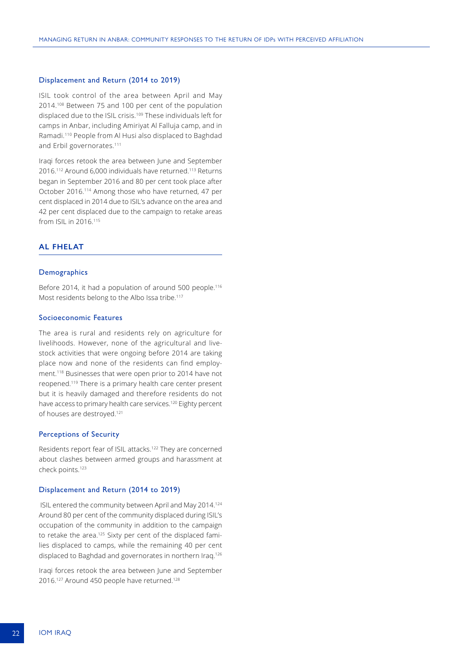#### Displacement and Return (2014 to 2019)

ISIL took control of the area between April and May 2014.108 Between 75 and 100 per cent of the population displaced due to the ISIL crisis.<sup>109</sup> These individuals left for camps in Anbar, including Amiriyat Al Falluja camp, and in Ramadi.110 People from Al Husi also displaced to Baghdad and Erbil governorates.111

Iraqi forces retook the area between June and September 2016.112 Around 6,000 individuals have returned.113 Returns began in September 2016 and 80 per cent took place after October 2016.114 Among those who have returned, 47 per cent displaced in 2014 due to ISIL's advance on the area and 42 per cent displaced due to the campaign to retake areas from ISIL in 2016.<sup>115</sup>

#### **AL FHELAT**

#### **Demographics**

Before 2014, it had a population of around 500 people.<sup>116</sup> Most residents belong to the Albo Issa tribe.<sup>117</sup>

#### Socioeconomic Features

The area is rural and residents rely on agriculture for livelihoods. However, none of the agricultural and livestock activities that were ongoing before 2014 are taking place now and none of the residents can find employment.118 Businesses that were open prior to 2014 have not reopened.<sup>119</sup> There is a primary health care center present but it is heavily damaged and therefore residents do not have access to primary health care services.<sup>120</sup> Eighty percent of houses are destroyed.121

#### Perceptions of Security

Residents report fear of ISIL attacks.122 They are concerned about clashes between armed groups and harassment at check points.123

#### Displacement and Return (2014 to 2019)

ISIL entered the community between April and May 2014.<sup>124</sup> Around 80 per cent of the community displaced during ISIL's occupation of the community in addition to the campaign to retake the area.<sup>125</sup> Sixty per cent of the displaced families displaced to camps, while the remaining 40 per cent displaced to Baghdad and governorates in northern Iraq.<sup>126</sup>

Iraqi forces retook the area between June and September 2016.<sup>127</sup> Around 450 people have returned.<sup>128</sup>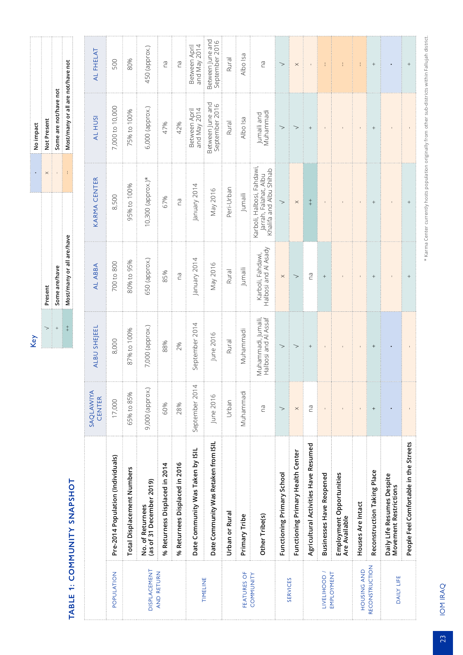| i                                                                                                              |
|----------------------------------------------------------------------------------------------------------------|
| ŗ                                                                                                              |
|                                                                                                                |
| and the state of the state of the state of the state of the state of the state of the state of the state of th |
|                                                                                                                |
| i                                                                                                              |
|                                                                                                                |
|                                                                                                                |
|                                                                                                                |
|                                                                                                                |
| I                                                                                                              |
|                                                                                                                |
|                                                                                                                |
|                                                                                                                |
|                                                                                                                |
|                                                                                                                |
|                                                                                                                |
|                                                                                                                |
|                                                                                                                |
|                                                                                                                |
|                                                                                                                |
|                                                                                                                |
|                                                                                                                |
| I                                                                                                              |
|                                                                                                                |
| I                                                                                                              |
|                                                                                                                |
| l                                                                                                              |
|                                                                                                                |
| l                                                                                                              |
|                                                                                                                |
| I<br>֚֚֡֡֡֡֡֡֡֡                                                                                                |
|                                                                                                                |
|                                                                                                                |

|                                                                                                                                 |   | ot Present                        |
|---------------------------------------------------------------------------------------------------------------------------------|---|-----------------------------------|
| ome are/have                                                                                                                    |   | Some are not/have not             |
| Most/many or all are/have                                                                                                       | l | lost/many or all are not/have not |
| parameter and a component component and a component component and a component component component component component component |   |                                   |

| AL FHELAT           | 500                               | 80%                               | 450 (approx.)                                | ΓØ                            | Ρã                                                                                                                                                                                                                                                                                                                                                                                                                                                              | and May 2014<br>Between April    | Between June and<br>September 2016   | Rural         | Albo Isa      | РĞ                                                                             | $\gt$                      | $\times$                          |                                      |                                   |                                           |                   |                             |                                                     | $\! + \!\!\!\!$                        |
|---------------------|-----------------------------------|-----------------------------------|----------------------------------------------|-------------------------------|-----------------------------------------------------------------------------------------------------------------------------------------------------------------------------------------------------------------------------------------------------------------------------------------------------------------------------------------------------------------------------------------------------------------------------------------------------------------|----------------------------------|--------------------------------------|---------------|---------------|--------------------------------------------------------------------------------|----------------------------|-----------------------------------|--------------------------------------|-----------------------------------|-------------------------------------------|-------------------|-----------------------------|-----------------------------------------------------|----------------------------------------|
| AL HUSI             | 7,000 to 10,000                   | 75% to 100%                       | 6,000 (approx.)                              | 47%                           | 42%                                                                                                                                                                                                                                                                                                                                                                                                                                                             | and May 2014<br>Between April    | Between June and<br>September 2016   | Rural         | Albo Isa      | Vuhammadi<br>Jumaili and                                                       |                            |                                   | $^{+}$                               |                                   |                                           |                   |                             |                                                     |                                        |
| <b>KARMA CENTER</b> | 8,500                             | 95% to 100%                       | $10,300$ (approx.)*                          | 67%                           | БU                                                                                                                                                                                                                                                                                                                                                                                                                                                              | January 2014                     | May 2016                             | Peri-Urban    | Jumaili       | (arboli, Halbosi, Fahdawi,<br>Khalifa and Albu Shihab<br>Jarrah, Falahat, Albu |                            | $\times$                          | $+$                                  |                                   |                                           |                   |                             |                                                     |                                        |
| AL ABBA             | 700 to 800                        | 80% to 95%                        | 650 (approx.)                                | 85%                           | $\label{def:1} \begin{split} \frac{1}{2} \left( \frac{1}{2} \left( \frac{1}{2} \left( \frac{1}{2} \left( \frac{1}{2} \left( \frac{1}{2} \left( \frac{1}{2} \left( \frac{1}{2} \left( \frac{1}{2} \left( \frac{1}{2} \left( \frac{1}{2} \left( \frac{1}{2} \left( \frac{1}{2} \left( \frac{1}{2} \left( \frac{1}{2} \left( \frac{1}{2} \left( \frac{1}{2} \right) \right) \right) \right) \right) \right) \right) \right) + \frac{1}{2} \left( \frac{1}{2$<br>ΒQ | January 2014                     | May 2016                             | Rural         | Jumaili       | Halbosi and Al Asady<br>Karboli, Fahdawi,                                      | $\times$                   |                                   | ma                                   |                                   |                                           |                   |                             |                                                     |                                        |
| ALBU SHEJEEL        | 8,000                             | 87% to 100%                       | 7,000 (approx.)                              | 88%                           | 2%                                                                                                                                                                                                                                                                                                                                                                                                                                                              | September 2014                   | June 2016                            | <b>Rural</b>  | Muhammadi     | Vluhammadi, Jumaili<br>Halbosi and Al Assa                                     |                            |                                   | $^{+}$                               |                                   |                                           |                   |                             |                                                     |                                        |
| SAQLAWIYA<br>CENTER | 17,000                            | 65% to 85%                        | 9,000 (approx.)                              | 60%                           | 28%                                                                                                                                                                                                                                                                                                                                                                                                                                                             | September 2014                   | June 2016                            | Urban         | Muhammadi     | СQ                                                                             | >                          | $\times$                          | ma                                   |                                   |                                           |                   |                             |                                                     |                                        |
|                     | Pre-2014 Population (Individuals) | Total Displacement Numbers        | (as of 31 December 2019)<br>No. of Returnees | % Returness Displaced in 2014 | % Returnees Displaced in 2016                                                                                                                                                                                                                                                                                                                                                                                                                                   | Date Community Was Taken by ISIL | Date Community Was Retaken from ISIL | Urban or Rura | Primary Tribe | Other Tribe(s)                                                                 | Functioning Primary School | Functioning Primary Health Center | Agricultural Activities Have Resumed | <b>Businesses Have Reopened</b>   | Employment Opportunities<br>Are Available | Houses Are Intact | Reconstruction Taking Place | Daily Life Resumes Despite<br>Movement Restrictions | People Feel Comfortable in the Streets |
|                     | POPULATION                        | <b>DISPLACEMENT</b><br>AND RETURN |                                              |                               |                                                                                                                                                                                                                                                                                                                                                                                                                                                                 | TIMELINE                         |                                      |               | FEATURES OF   | COMMUNITY                                                                      | <b>SERVICES</b>            |                                   |                                      | <b>TIAETIHOOD \</b><br>EMPLOYMENT |                                           | HOUSING AND       | RECONSTRUCTION              | DAILY LIFE                                          |                                        |

\* Karma Center currently hosts population originally from other sub-districts within Fallujah district. \* Karma Center currently hosts population originally from other sub-districts within Fallujah district.

23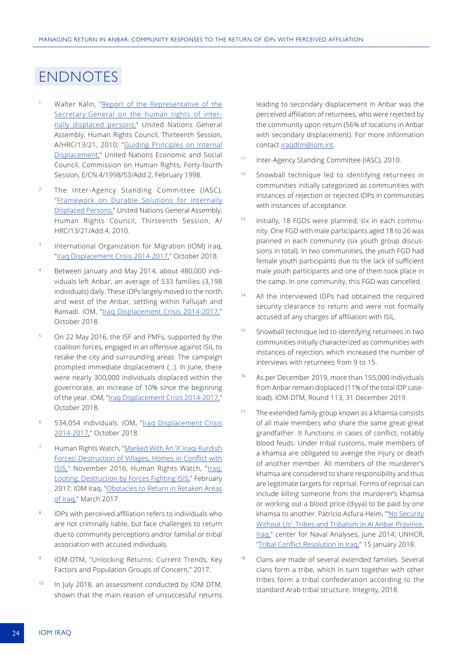### ENDNOTES

- Walter Kälin, "Report of the Representative of the [Secretary-General on the human rights of inter](https://www2.ohchr.org/english/bodies/hrcouncil/docs/13session/A-HRC-13-21.pdf)[nally displaced persons,](https://www2.ohchr.org/english/bodies/hrcouncil/docs/13session/A-HRC-13-21.pdf)" United Nations General Assembly, Human Rights Council, Thirteenth Session, A/HRC/13/21, 2010; "[Guiding Principles on Internal](https://documents-dds-ny.un.org/doc/UNDOC/GEN/G98/104/93/PDF/G9810493.pdf?OpenElement)  [Displacement,](https://documents-dds-ny.un.org/doc/UNDOC/GEN/G98/104/93/PDF/G9810493.pdf?OpenElement)" United Nations Economic and Social Council, Commission on Human Rights, Forty-fourth Session, E/CN.4/1998/53/Add.2, February 1998.
- <sup>2</sup> The Inter-Agency Standing Committee (IASC), "[Framework on Durable Solutions for Internally](http://Framework on Durable Solutions for Internally Displaced Persons,)  [Displaced Persons,](http://Framework on Durable Solutions for Internally Displaced Persons,)" United Nations General Assembly, Human Rights Council, Thirteenth Session, A/ HRC/13/21/Add.4, 2010.
- <sup>3</sup> International Organization for Migration (IOM) Iraq, ["Iraq Displacement Crisis 2014-2017,"](http://iraqdtm.iom.int/LastDTMRound/IOM-Iraq_Displacement_Crisis_2014-2017.pdf) October 2018.
- Between January and May 2014, about 480,000 individuals left Anbar, an average of 533 families (3,198 individuals) daily. These IDPs largely moved to the north and west of the Anbar, settling within Fallujah and Ramadi. IOM, "[Iraq Displacement Crisis 2014-2017,"](http://iraqdtm.iom.int/LastDTMRound/IOM-Iraq_Displacement_Crisis_2014-2017.pdf) October 2018.
- <sup>5</sup> On 22 May 2016, the ISF and PMFs, supported by the coalition forces, engaged in an offensive against ISIL to retake the city and surrounding areas. The campaign prompted immediate displacement (…). In June, there were nearly 300,000 individuals displaced within the governorate, an increase of 10% since the beginning of the year. IOM, "Iraq Displacement Crisis 2014-2017,' October 2018.
- <sup>6</sup> 534,054 individuals. IOM, ["Iraq Displacement Crisis](http://iraqdtm.iom.int/LastDTMRound/IOM-Iraq_Displacement_Crisis_2014-2017.pdf)  [2014-2017,](http://iraqdtm.iom.int/LastDTMRound/IOM-Iraq_Displacement_Crisis_2014-2017.pdf)" October 2018.
- Human Rights Watch, "Marked With An 'X' Iraqi Kurdish [Forces' Destruction of Villages, Homes in Conflict with](https://www.hrw.org/report/2016/11/13/marked-x/iraqi-kurdish-forces-destruction-villages-homes-conflict-isis)  [ISIS,](https://www.hrw.org/report/2016/11/13/marked-x/iraqi-kurdish-forces-destruction-villages-homes-conflict-isis)" November 2016; Human Rights Watch, "Iraq: [Looting, Destruction by Forces Fighting ISIS,](https://www.hrw.org/news/2017/02/16/iraq-looting-destruction-forces-fighting-isis)" February 2017; IOM Iraq, "[Obstacles to Return in Retaken Areas](http://iraqdtm.iom.int/specialreports/obstaclestoreturn06211701.pdf)  [of Iraq,](http://iraqdtm.iom.int/specialreports/obstaclestoreturn06211701.pdf)" March 2017.
- IDPs with perceived affiliation refers to individuals who are not criminally liable, but face challenges to return due to community perceptions and/or familial or tribal association with accused individuals.
- 9 IOM-DTM, "Unlocking Returns: Current Trends, Key Factors and Population Groups of Concern," 2017.
- <sup>10</sup> In July 2018, an assessment conducted by IOM DTM, shown that the main reason of unsuccessful returns

leading to secondary displacement in Anbar was the perceived affiliation of returnees, who were rejected by the community upon return (56% of locations in Anbar with secondary displacement). For more information contact [iraqdtm@iom.int](mailto:iraqdtm%40iom.int?subject=).

- 11 Inter-Agency Standing Committee (IASC), 2010.
- <sup>12</sup> Snowball technique led to identifying returnees in communities initially categorized as communities with instances of rejection or rejected IDPs in communities with instances of acceptance.
- 13 Initially, 18 FGDs were planned, six in each community. One FGD with male participants aged 18 to 26 was planned in each community (six youth group discussions in total). In two communities, the youth FGD had female youth participants due to the lack of sufficient male youth participants and one of them took place in the camp. In one community, this FGD was cancelled.
- <sup>14</sup> All the interviewed IDPs had obtained the required security clearance to return and were not formally accused of any charges of affiliation with ISIL.
- <sup>15</sup> Snowball technique led to identifying returnees in two communities initially characterized as communities with instances of rejection, which increased the number of interviews with returnees from 9 to 15.
- <sup>16</sup> As per December 2019, more than 155,000 individuals from Anbar remain displaced (11% of the total IDP caseload). IOM-DTM, Round 113, 31 December 2019.
- <sup>17</sup> The extended family group known as a khamsa consists of all male members who share the same great-great grandfather. It functions in cases of conflict, notably blood feuds. Under tribal customs, male members of a khamsa are obligated to avenge the injury or death of another member. All members of the murderer's khamsa are considered to share responsibility and thus are legitimate targets for reprisal. Forms of reprisal can include killing someone from the murderer's khamsa or working out a blood price (diyya) to be paid by one khamsa to another. Patricio Asfura-Heim, "'[No Security](https://www.cna.org/CNA_files/PDF/COP-2014-U-007918-Final.pdf) [Without Us': Tribes and Tribalism in Al Anbar Province,](https://www.cna.org/CNA_files/PDF/COP-2014-U-007918-Final.pdf) [Iraq,"](https://www.cna.org/CNA_files/PDF/COP-2014-U-007918-Final.pdf) center for Naval Analyses, June 2014; UNHCR, "[Tribal Conflict Resolution in Iraq,](https://www.refworld.org/pdfid/5a66f84f4.pdf)" 15 January 2018.
- Clans are made of several extended families. Several clans form a tribe, which in turn together with other tribes form a tribal confederation according to the standard Arab tribal structure. Integrity, 2018.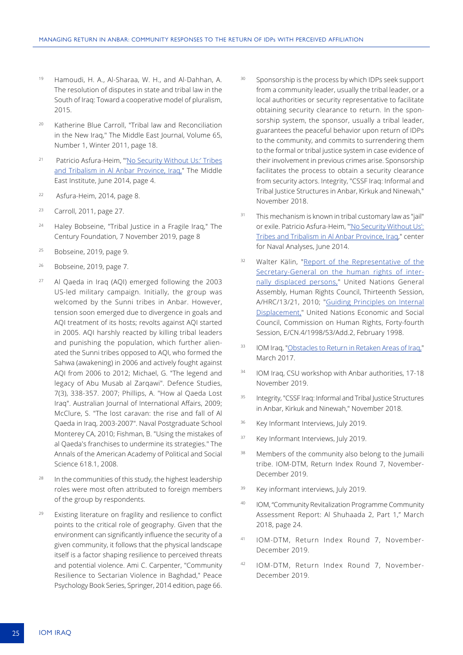- <sup>19</sup> Hamoudi, H. A., Al-Sharaa, W. H., and Al-Dahhan, A. The resolution of disputes in state and tribal law in the South of Iraq: Toward a cooperative model of pluralism, 2015.
- <sup>20</sup> Katherine Blue Carroll, "Tribal law and Reconciliation in the New Iraq," The Middle East Journal, Volume 65, Number 1, Winter 2011, page 18.
- <sup>21</sup> Patricio Asfura-Heim, "'[No Security Without Us:' Tribes](https://www.cna.org/CNA_files/PDF/COP-2014-U-007918-Final.pdf)  [and Tribalism in Al Anbar Province, Iraq,](https://www.cna.org/CNA_files/PDF/COP-2014-U-007918-Final.pdf)" The Middle East Institute, June 2014, page 4.
- 22 Asfura-Heim, 2014, page 8.
- <sup>23</sup> Carroll, 2011, page 27.
- <sup>24</sup> Haley Bobseine, "Tribal Justice in a Fragile Iraq," The Century Foundation, 7 November 2019, page 8
- <sup>25</sup> Bobseine, 2019, page 9.
- <sup>26</sup> Bobseine, 2019, page 7.
- <sup>27</sup> Al Qaeda in Iraq (AQI) emerged following the 2003 US-led military campaign. Initially, the group was welcomed by the Sunni tribes in Anbar. However, tension soon emerged due to divergence in goals and AQI treatment of its hosts; revolts against AQI started in 2005. AQI harshly reacted by killing tribal leaders and punishing the population, which further alienated the Sunni tribes opposed to AQI, who formed the Sahwa (awakening) in 2006 and actively fought against AQI from 2006 to 2012; Michael, G. "The legend and legacy of Abu Musab al Zarqawi". Defence Studies, 7(3), 338-357. 2007; Phillips, A. "How al Qaeda Lost Iraq". Australian Journal of International Affairs, 2009; McClure, S. "The lost caravan: the rise and fall of Al Qaeda in Iraq, 2003-2007". Naval Postgraduate School Monterey CA, 2010; Fishman, B. "Using the mistakes of al Qaeda's franchises to undermine its strategies." The Annals of the American Academy of Political and Social Science 618.1, 2008.
- In the communities of this study, the highest leadership roles were most often attributed to foreign members of the group by respondents.
- <sup>29</sup> Existing literature on fragility and resilience to conflict points to the critical role of geography. Given that the environment can significantly influence the security of a given community, it follows that the physical landscape itself is a factor shaping resilience to perceived threats and potential violence. Ami C. Carpenter, "Community Resilience to Sectarian Violence in Baghdad," Peace Psychology Book Series, Springer, 2014 edition, page 66.
- Sponsorship is the process by which IDPs seek support from a community leader, usually the tribal leader, or a local authorities or security representative to facilitate obtaining security clearance to return. In the sponsorship system, the sponsor, usually a tribal leader, guarantees the peaceful behavior upon return of IDPs to the community, and commits to surrendering them to the formal or tribal justice system in case evidence of their involvement in previous crimes arise. Sponsorship facilitates the process to obtain a security clearance from security actors. Integrity, "CSSF Iraq: Informal and Tribal Justice Structures in Anbar, Kirkuk and Ninewah," November 2018.
- <sup>31</sup> This mechanism is known in tribal customary law as "jail" or exile. Patricio Asfura-Heim, "['No Security Without Us':](https://www.cna.org/CNA_files/PDF/COP-2014-U-007918-Final.pdf) [Tribes and Tribalism in Al Anbar Province, Iraq](https://www.cna.org/CNA_files/PDF/COP-2014-U-007918-Final.pdf)," center for Naval Analyses, June 2014.
- <sup>32</sup> Walter Kälin, "[Report of the Representative of the](https://www2.ohchr.org/english/bodies/hrcouncil/docs/13session/A-HRC-13-21.pdf) [Secretary-General on the human rights of inter](https://www2.ohchr.org/english/bodies/hrcouncil/docs/13session/A-HRC-13-21.pdf)[nally displaced persons,](https://www2.ohchr.org/english/bodies/hrcouncil/docs/13session/A-HRC-13-21.pdf)" United Nations General Assembly, Human Rights Council, Thirteenth Session, A/HRC/13/21, 2010; "[Guiding Principles on Internal](https://documents-dds-ny.un.org/doc/UNDOC/GEN/G98/104/93/PDF/G9810493.pdf?OpenElement) [Displacement,](https://documents-dds-ny.un.org/doc/UNDOC/GEN/G98/104/93/PDF/G9810493.pdf?OpenElement)" United Nations Economic and Social Council, Commission on Human Rights, Forty-fourth Session, E/CN.4/1998/53/Add.2, February 1998.
- 33 IOM Iraq, ["Obstacles to Return in Retaken Areas of Iraq,](http://iraqdtm.iom.int/specialreports/obstaclestoreturn06211701.pdf)" March 2017.
- <sup>34</sup> IOM Iraq, CSU workshop with Anbar authorities, 17-18 November 2019.
- <sup>35</sup> Integrity, "CSSF Iraq: Informal and Tribal Justice Structures in Anbar, Kirkuk and Ninewah," November 2018.
- <sup>36</sup> Key Informant Interviews, July 2019.
- <sup>37</sup> Key Informant Interviews, July 2019.
- <sup>38</sup> Members of the community also belong to the Jumaili tribe. IOM-DTM, Return Index Round 7, November-December 2019.
- <sup>39</sup> Key informant interviews, July 2019.
- <sup>40</sup> IOM, "Community Revitalization Programme Community Assessment Report: Al Shuhaada 2, Part 1," March 2018, page 24.
- <sup>41</sup> IOM-DTM, Return Index Round 7, November-December 2019.
- <sup>42</sup> IOM-DTM, Return Index Round 7, November-December 2019.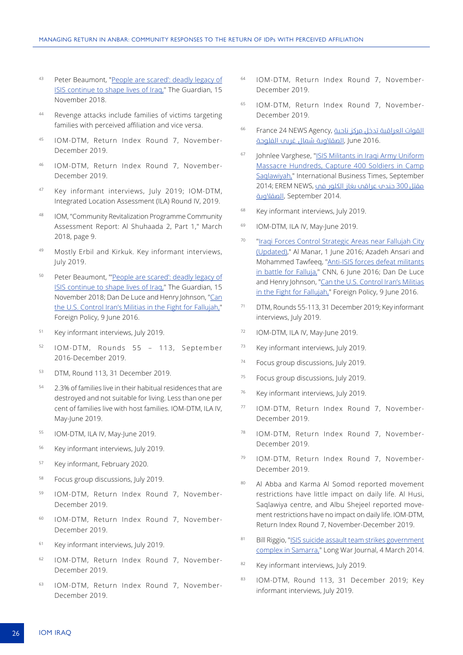- 43 Peter Beaumont, "People are scared': deadly legacy of [ISIS continue to shape lives of Iraq,"](https://www.theguardian.com/global-development/2018/nov/15/people-are-scared-to-go-home-deadly-landmines-of-isis-still-shapes-lives-in-iraq-fallujah) The Guardian, 15 November 2018.
- <sup>44</sup> Revenge attacks include families of victims targeting families with perceived affiliation and vice versa.
- <sup>45</sup> IOM-DTM, Return Index Round 7, November-December 2019.
- <sup>46</sup> IOM-DTM, Return Index Round 7, November-December 2019.
- <sup>47</sup> Key informant interviews, July 2019; IOM-DTM, Integrated Location Assessment (ILA) Round IV, 2019.
- <sup>48</sup> IOM, "Community Revitalization Programme Community Assessment Report: Al Shuhaada 2, Part 1," March 2018, page 9.
- <sup>49</sup> Mostly Erbil and Kirkuk. Key informant interviews, July 2019.
- <sup>50</sup> Peter Beaumont, "['People are scared': deadly legacy of](https://www.theguardian.com/global-development/2018/nov/15/people-are-scared-to-go-home-deadly-landmines-of-isis-still-shapes-lives-in-iraq-fallujah)  [ISIS continue to shape lives of Iraq,"](https://www.theguardian.com/global-development/2018/nov/15/people-are-scared-to-go-home-deadly-landmines-of-isis-still-shapes-lives-in-iraq-fallujah) The Guardian, 15 November 2018; Dan De Luce and Henry Johnson, ["Can](https://foreignpolicy.com/2016/06/09/can-the-u-s-control-irans-militias-in-the-fight-for-fallujah-shiite-iraq-isis/)  [the U.S. Control Iran's Militias in the Fight for Fallujah,"](https://foreignpolicy.com/2016/06/09/can-the-u-s-control-irans-militias-in-the-fight-for-fallujah-shiite-iraq-isis/) Foreign Policy, 9 June 2016.
- <sup>51</sup> Key informant interviews, July 2019.
- <sup>52</sup> IOM-DTM, Rounds 55 113, September 2016-December 2019.
- <sup>53</sup> DTM, Round 113, 31 December 2019.
- <sup>54</sup> 2.3% of families live in their habitual residences that are destroyed and not suitable for living. Less than one per cent of families live with host families. IOM-DTM, ILA IV, May-June 2019.
- <sup>55</sup> IOM-DTM, ILA IV, May-June 2019.
- <sup>56</sup> Key informant interviews, July 2019.
- <sup>57</sup> Key informant, February 2020.
- <sup>58</sup> Focus group discussions, July 2019.
- IOM-DTM, Return Index Round 7, November-December 2019.
- <sup>60</sup> IOM-DTM, Return Index Round 7, November-December 2019.
- <sup>61</sup> Key informant interviews, July 2019.
- <sup>62</sup> IOM-DTM, Return Index Round 7, November-December 2019.
- <sup>63</sup> IOM-DTM, Return Index Round 7, November-December 2019.
- <sup>64</sup> IOM-DTM, Return Index Round 7, November-December 2019.
- <sup>65</sup> IOM-DTM, Return Index Round 7, November-December 2019.
- [القوات](https://www.france24.com/ar/20160604-%D8%A7%D9%84%D9%82%D9%88%D8%A7%D8%AA-%D8%A7%D9%84%D8%B9%D8%B1%D8%A7%D9%82%D9%8A%D8%A9-%D8%A7%D9%84%D9%81%D9%84%D9%88%D8%AC%D8%A9-%D8%A7%D9%84%D8%B5%D9%82%D9%84%D8%A7%D9%88%D9%8A%D8%A9-%D8%AA%D9%86%D8%B8%D9%8A%D9%85-%D8%A7%D9%84%D8%AF%D9%88%D9%84%D8%A9-%D8%A7%D9%84%D8%A5%D8%B3%D9%84%D8%A7%D9%85%D9%8A%D8%A9) [العراقية](https://www.france24.com/ar/20160604-%D8%A7%D9%84%D9%82%D9%88%D8%A7%D8%AA-%D8%A7%D9%84%D8%B9%D8%B1%D8%A7%D9%82%D9%8A%D8%A9-%D8%A7%D9%84%D9%81%D9%84%D9%88%D8%AC%D8%A9-%D8%A7%D9%84%D8%B5%D9%82%D9%84%D8%A7%D9%88%D9%8A%D8%A9-%D8%AA%D9%86%D8%B8%D9%8A%D9%85-%D8%A7%D9%84%D8%AF%D9%88%D9%84%D8%A9-%D8%A7%D9%84%D8%A5%D8%B3%D9%84%D8%A7%D9%85%D9%8A%D8%A9) تدخل مركز ناحية ,Agency NEWS 24 France <sup>66</sup> 2016. June ,[الصقالوية](https://www.france24.com/ar/20160604-%D8%A7%D9%84%D9%82%D9%88%D8%A7%D8%AA-%D8%A7%D9%84%D8%B9%D8%B1%D8%A7%D9%82%D9%8A%D8%A9-%D8%A7%D9%84%D9%81%D9%84%D9%88%D8%AC%D8%A9-%D8%A7%D9%84%D8%B5%D9%82%D9%84%D8%A7%D9%88%D9%8A%D8%A9-%D8%AA%D9%86%D8%B8%D9%8A%D9%85-%D8%A7%D9%84%D8%AF%D9%88%D9%84%D8%A9-%D8%A7%D9%84%D8%A5%D8%B3%D9%84%D8%A7%D9%85%D9%8A%D8%A9) شامل غريب الفلوجة
- <sup>67</sup> Johnlee Varghese, "[ISIS Militants in Iraqi Army Uniform](https://www.ibtimes.co.in/isis-militants-iraqi-army-uniform-massacre-hundreds-capture-400-soldiers-camp-saqlawiyah-609729) [Massacre Hundreds, Capture 400 Soldiers in Camp](https://www.ibtimes.co.in/isis-militants-iraqi-army-uniform-massacre-hundreds-capture-400-soldiers-camp-saqlawiyah-609729) [Saqlawiyah,"](https://www.ibtimes.co.in/isis-militants-iraqi-army-uniform-massacre-hundreds-capture-400-soldiers-camp-saqlawiyah-609729) International Business Times, September 2014; EREM NEWS, [مقتل](https://www.eremnews.com/news/arab-world/130109) 300 جندي عراقي بغاز الكلور في 14; EREM NEWS 2014. September ,[الصقالوية](https://www.eremnews.com/news/arab-world/130109)
- <sup>68</sup> Key informant interviews, July 2019.
- <sup>69</sup> IOM-DTM, ILA IV, May-June 2019.
- <sup>70</sup> "[Iraqi Forces Control Strategic Areas near Fallujah City](http://mail.almanar.com.lb/english/adetails.php?fromval=2&cid=24&frid=23&seccatid=24&eid=272391) [\(Updated\)](http://mail.almanar.com.lb/english/adetails.php?fromval=2&cid=24&frid=23&seccatid=24&eid=272391)," Al Manar, 1 June 2016; Azadeh Ansari and Mohammed Tawfeeq, ["Anti-ISIS forces defeat militants](https://edition.cnn.com/2016/06/04/middleeast/iraq-syria-military-advance-on-isis/) [in battle for Falluja,](https://edition.cnn.com/2016/06/04/middleeast/iraq-syria-military-advance-on-isis/)" CNN, 6 June 2016; Dan De Luce and Henry Johnson, "[Can the U.S. Control Iran's Militias](https://foreignpolicy.com/2016/06/09/can-the-u-s-control-irans-militias-in-the-fight-for-fallujah-shiite-iraq-isis/) [in the Fight for Fallujah,](https://foreignpolicy.com/2016/06/09/can-the-u-s-control-irans-militias-in-the-fight-for-fallujah-shiite-iraq-isis/)" Foreign Policy, 9 June 2016.
- <sup>71</sup> DTM, Rounds 55-113, 31 December 2019; Key informant interviews, July 2019.
- <sup>72</sup> IOM-DTM, ILA IV, May-June 2019.
- 73 Key informant interviews, July 2019.
- <sup>74</sup> Focus group discussions, July 2019.
- <sup>75</sup> Focus group discussions, July 2019.
- <sup>76</sup> Key informant interviews, July 2019.
- <sup>77</sup> IOM-DTM, Return Index Round 7, November-December 2019.
- <sup>78</sup> IOM-DTM, Return Index Round 7, November-December 2019.
- <sup>79</sup> IOM-DTM, Return Index Round 7, November-December 2019.
- 80 Al Abba and Karma Al Somod reported movement restrictions have little impact on daily life. Al Husi, Saqlawiya centre, and Albu Shejeel reported movement restrictions have no impact on daily life. IOM-DTM, Return Index Round 7, November-December 2019.
- 81 Bill Riggio, ["ISIS suicide assault team strikes government](https://www.longwarjournal.org/archives/2014/03/isis_suicide_assault.php) [complex in Samarra,"](https://www.longwarjournal.org/archives/2014/03/isis_suicide_assault.php) Long War Journal, 4 March 2014.
- 82 Key informant interviews, July 2019.
- 83 IOM-DTM, Round 113, 31 December 2019; Key informant interviews, July 2019.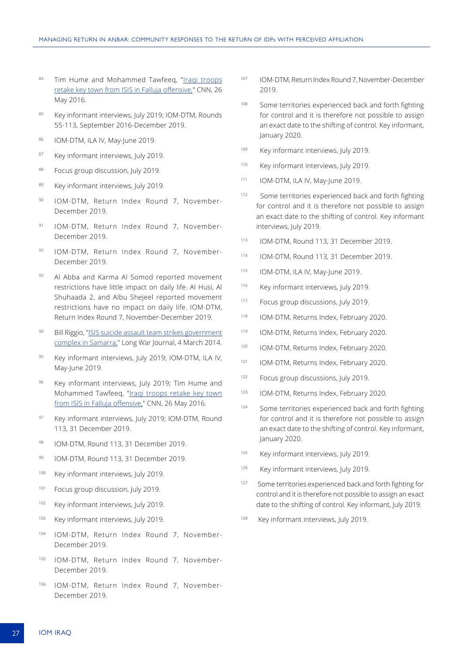- 84 Tim Hume and Mohammed Tawfeeq, "Iraqi troops [retake key town from ISIS in Falluja offensive,"](https://edition.cnn.com/2016/05/26/middleeast/iraq-karma-falluja/index.html) CNN, 26 May 2016.
- 85 Key informant interviews, July 2019; IOM-DTM, Rounds 55-113, September 2016-December 2019.
- 86 IOM-DTM, ILA IV, May-June 2019.
- 87 Key informant interviews, July 2019.
- 88 Focus group discussion, July 2019.
- 89 Key informant interviews, July 2019.
- <sup>90</sup> IOM-DTM, Return Index Round 7, November-December 2019.
- <sup>91</sup> IOM-DTM, Return Index Round 7, November-December 2019.
- <sup>92</sup> IOM-DTM, Return Index Round 7, November-December 2019.
- 93 Al Abba and Karma Al Somod reported movement restrictions have little impact on daily life. Al Husi, Al Shuhaada 2, and Albu Shejeel reported movement restrictions have no impact on daily life. IOM-DTM, Return Index Round 7, November-December 2019.
- 94 Bill Riggio, "ISIS suicide assault team strikes government [complex in Samarra,](https://www.longwarjournal.org/archives/2014/03/isis_suicide_assault.php)" Long War Journal, 4 March 2014.
- 95 Key informant interviews, July 2019; IOM-DTM, ILA IV, May-June 2019.
- 96 Key informant interviews, July 2019; Tim Hume and Mohammed Tawfeeq, ["Iraqi troops retake key town](https://edition.cnn.com/2016/05/26/middleeast/iraq-karma-falluja/index.html)  [from ISIS in Falluja offensive,"](https://edition.cnn.com/2016/05/26/middleeast/iraq-karma-falluja/index.html) CNN, 26 May 2016.
- 97 Key informant interviews, July 2019; IOM-DTM, Round 113, 31 December 2019.
- 98 IOM-DTM, Round 113, 31 December 2019
- <sup>99</sup> IOM-DTM, Round 113, 31 December 2019.
- <sup>100</sup> Key informant interviews, July 2019.
- <sup>101</sup> Focus group discussion, July 2019.
- <sup>102</sup> Key informant interviews, July 2019.
- 103 Key informant interviews, July 2019.
- <sup>104</sup> IOM-DTM, Return Index Round 7, November-December 2019.
- <sup>105</sup> IOM-DTM, Return Index Round 7, November-December 2019.
- <sup>106</sup> IOM-DTM, Return Index Round 7, November-December 2019.
- <sup>107</sup> IOM-DTM, Return Index Round 7, November-December 2019.
- <sup>108</sup> Some territories experienced back and forth fighting for control and it is therefore not possible to assign an exact date to the shifting of control. Key informant, January 2020.
- 109 Key informant interviews, July 2019.
- <sup>110</sup> Key informant interviews, July 2019.
- <sup>111</sup> IOM-DTM, ILA IV, May-June 2019.
- <sup>112</sup> Some territories experienced back and forth fighting for control and it is therefore not possible to assign an exact date to the shifting of control. Key informant interviews, July 2019.
- <sup>113</sup> IOM-DTM, Round 113, 31 December 2019.
- <sup>114</sup> IOM-DTM, Round 113, 31 December 2019.
- <sup>115</sup> IOM-DTM, ILA IV, May-June 2019.
- <sup>116</sup> Key informant interviews, July 2019.
- 117 Focus group discussions, July 2019.
- 118 IOM-DTM, Returns Index, February 2020.
- 119 IOM-DTM, Returns Index, February 2020.
- 120 IOM-DTM, Returns Index, February 2020.
- 121 IOM-DTM, Returns Index, February 2020.
- <sup>122</sup> Focus group discussions, July 2019.
- 123 IOM-DTM, Returns Index, February 2020.
- <sup>124</sup> Some territories experienced back and forth fighting for control and it is therefore not possible to assign an exact date to the shifting of control. Key informant, January 2020.
- 125 Key informant interviews, July 2019.
- 126 Key informant interviews, July 2019.
- <sup>127</sup> Some territories experienced back and forth fighting for control and it is therefore not possible to assign an exact date to the shifting of control. Key informant, July 2019.
- <sup>128</sup> Key informant interviews, July 2019.